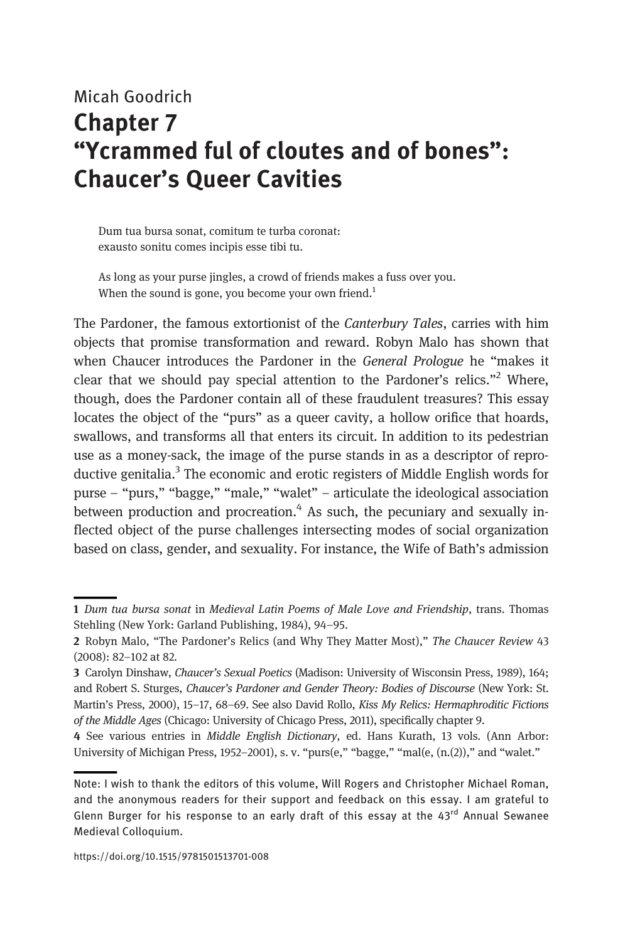# Micah Goodrich Chapter 7 "Ycrammed ful of cloutes and of bones": Chaucer's Queer Cavities

Dum tua bursa sonat, comitum te turba coronat: exausto sonitu comes incipis esse tibi tu.

As long as your purse jingles, a crowd of friends makes a fuss over you. When the sound is gone, you become your own friend.<sup>1</sup>

The Pardoner, the famous extortionist of the Canterbury Tales, carries with him objects that promise transformation and reward. Robyn Malo has shown that when Chaucer introduces the Pardoner in the General Prologue he "makes it clear that we should pay special attention to the Pardoner's relics."<sup>2</sup> Where, though, does the Pardoner contain all of these fraudulent treasures? This essay locates the object of the "purs" as a queer cavity, a hollow orifice that hoards, swallows, and transforms all that enters its circuit. In addition to its pedestrian use as a money-sack, the image of the purse stands in as a descriptor of reproductive genitalia.<sup>3</sup> The economic and erotic registers of Middle English words for purse – "purs," "bagge," "male," "walet" – articulate the ideological association between production and procreation.<sup>4</sup> As such, the pecuniary and sexually inflected object of the purse challenges intersecting modes of social organization based on class, gender, and sexuality. For instance, the Wife of Bath's admission

<sup>1</sup> Dum tua bursa sonat in Medieval Latin Poems of Male Love and Friendship, trans. Thomas Stehling (New York: Garland Publishing, 1984), 94–95.

<sup>2</sup> Robyn Malo, "The Pardoner's Relics (and Why They Matter Most)," The Chaucer Review 43 (2008): 82–102 at 82.

<sup>3</sup> Carolyn Dinshaw, Chaucer's Sexual Poetics (Madison: University of Wisconsin Press, 1989), 164; and Robert S. Sturges, Chaucer's Pardoner and Gender Theory: Bodies of Discourse (New York: St. Martin's Press, 2000), 15–17, 68–69. See also David Rollo, Kiss My Relics: Hermaphroditic Fictions of the Middle Ages (Chicago: University of Chicago Press, 2011), specifically chapter 9.

<sup>4</sup> See various entries in Middle English Dictionary, ed. Hans Kurath, 13 vols. (Ann Arbor: University of Michigan Press, 1952–2001), s. v. "purs(e," "bagge," "mal(e, (n.(2))," and "walet."

Note: I wish to thank the editors of this volume, Will Rogers and Christopher Michael Roman, and the anonymous readers for their support and feedback on this essay. I am grateful to Glenn Burger for his response to an early draft of this essay at the  $43<sup>rd</sup>$  Annual Sewanee Medieval Colloquium.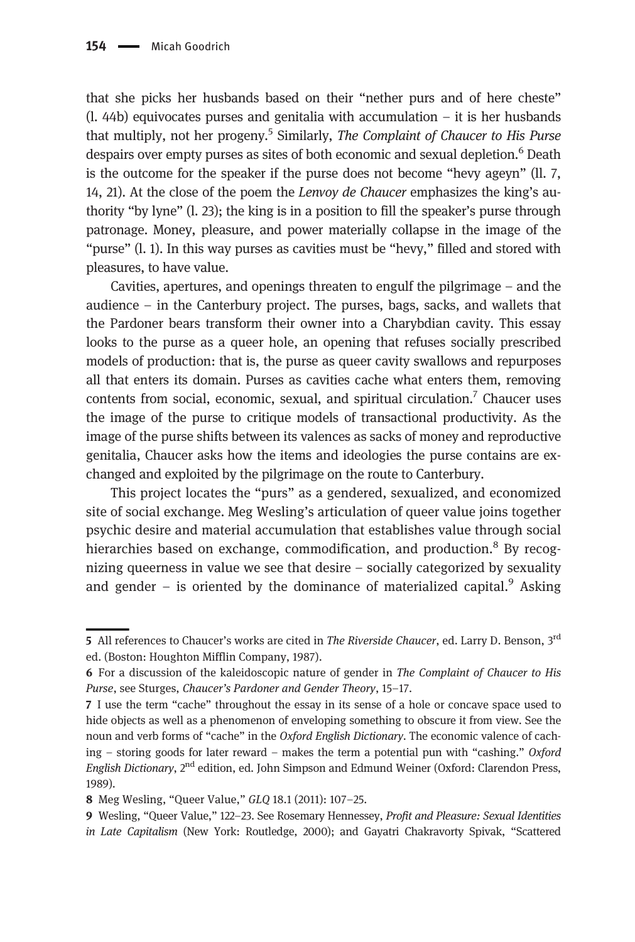that she picks her husbands based on their "nether purs and of here cheste"  $(l. 44b)$  equivocates purses and genitalia with accumulation – it is her husbands that multiply, not her progeny.<sup>5</sup> Similarly, The Complaint of Chaucer to His Purse despairs over empty purses as sites of both economic and sexual depletion.<sup>6</sup> Death is the outcome for the speaker if the purse does not become "hevy ageyn" (ll. 7, 14, 21). At the close of the poem the *Lenvoy de Chaucer* emphasizes the king's authority "by lyne" (l. 23); the king is in a position to fill the speaker's purse through patronage. Money, pleasure, and power materially collapse in the image of the "purse" (l. 1). In this way purses as cavities must be "hevy," filled and stored with pleasures, to have value.

Cavities, apertures, and openings threaten to engulf the pilgrimage – and the audience – in the Canterbury project. The purses, bags, sacks, and wallets that the Pardoner bears transform their owner into a Charybdian cavity. This essay looks to the purse as a queer hole, an opening that refuses socially prescribed models of production: that is, the purse as queer cavity swallows and repurposes all that enters its domain. Purses as cavities cache what enters them, removing contents from social, economic, sexual, and spiritual circulation.<sup>7</sup> Chaucer uses the image of the purse to critique models of transactional productivity. As the image of the purse shifts between its valences as sacks of money and reproductive genitalia, Chaucer asks how the items and ideologies the purse contains are exchanged and exploited by the pilgrimage on the route to Canterbury.

This project locates the "purs" as a gendered, sexualized, and economized site of social exchange. Meg Wesling's articulation of queer value joins together psychic desire and material accumulation that establishes value through social hierarchies based on exchange, commodification, and production.<sup>8</sup> By recognizing queerness in value we see that desire – socially categorized by sexuality and gender – is oriented by the dominance of materialized capital.<sup>9</sup> Asking

<sup>5</sup> All references to Chaucer's works are cited in The Riverside Chaucer, ed. Larry D. Benson, 3rd ed. (Boston: Houghton Mifflin Company, 1987).

<sup>6</sup> For a discussion of the kaleidoscopic nature of gender in The Complaint of Chaucer to His Purse, see Sturges, Chaucer's Pardoner and Gender Theory, 15–17.

<sup>7</sup> I use the term "cache" throughout the essay in its sense of a hole or concave space used to hide objects as well as a phenomenon of enveloping something to obscure it from view. See the noun and verb forms of "cache" in the Oxford English Dictionary. The economic valence of caching – storing goods for later reward – makes the term a potential pun with "cashing." Oxford English Dictionary, 2<sup>nd</sup> edition, ed. John Simpson and Edmund Weiner (Oxford: Clarendon Press, 1989).

<sup>8</sup> Meg Wesling, "Queer Value," GLQ 18.1 (2011): 107–25.

<sup>9</sup> Wesling, "Queer Value," 122–23. See Rosemary Hennessey, Profit and Pleasure: Sexual Identities in Late Capitalism (New York: Routledge, 2000); and Gayatri Chakravorty Spivak, "Scattered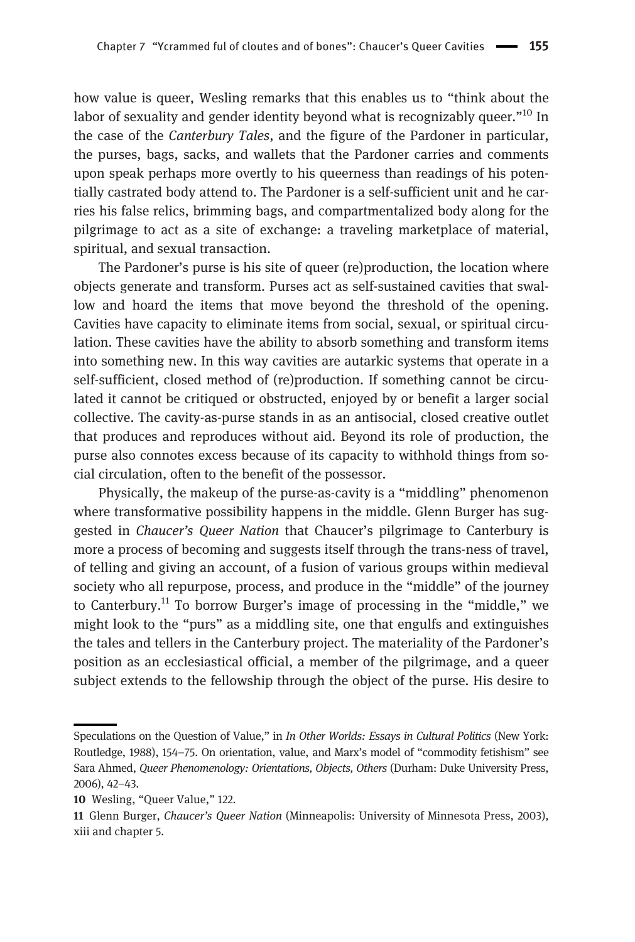how value is queer, Wesling remarks that this enables us to "think about the labor of sexuality and gender identity beyond what is recognizably queer."<sup>10</sup> In the case of the Canterbury Tales, and the figure of the Pardoner in particular, the purses, bags, sacks, and wallets that the Pardoner carries and comments upon speak perhaps more overtly to his queerness than readings of his potentially castrated body attend to. The Pardoner is a self-sufficient unit and he carries his false relics, brimming bags, and compartmentalized body along for the pilgrimage to act as a site of exchange: a traveling marketplace of material, spiritual, and sexual transaction.

The Pardoner's purse is his site of queer (re)production, the location where objects generate and transform. Purses act as self-sustained cavities that swallow and hoard the items that move beyond the threshold of the opening. Cavities have capacity to eliminate items from social, sexual, or spiritual circulation. These cavities have the ability to absorb something and transform items into something new. In this way cavities are autarkic systems that operate in a self-sufficient, closed method of (re)production. If something cannot be circulated it cannot be critiqued or obstructed, enjoyed by or benefit a larger social collective. The cavity-as-purse stands in as an antisocial, closed creative outlet that produces and reproduces without aid. Beyond its role of production, the purse also connotes excess because of its capacity to withhold things from social circulation, often to the benefit of the possessor.

Physically, the makeup of the purse-as-cavity is a "middling" phenomenon where transformative possibility happens in the middle. Glenn Burger has suggested in Chaucer's Queer Nation that Chaucer's pilgrimage to Canterbury is more a process of becoming and suggests itself through the trans-ness of travel, of telling and giving an account, of a fusion of various groups within medieval society who all repurpose, process, and produce in the "middle" of the journey to Canterbury.<sup>11</sup> To borrow Burger's image of processing in the "middle," we might look to the "purs" as a middling site, one that engulfs and extinguishes the tales and tellers in the Canterbury project. The materiality of the Pardoner's position as an ecclesiastical official, a member of the pilgrimage, and a queer subject extends to the fellowship through the object of the purse. His desire to

Speculations on the Question of Value," in In Other Worlds: Essays in Cultural Politics (New York: Routledge, 1988), 154–75. On orientation, value, and Marx's model of "commodity fetishism" see Sara Ahmed, Queer Phenomenology: Orientations, Objects, Others (Durham: Duke University Press, 2006), 42–43.

<sup>10</sup> Wesling, "Queer Value," 122.

<sup>11</sup> Glenn Burger, Chaucer's Queer Nation (Minneapolis: University of Minnesota Press, 2003), xiii and chapter 5.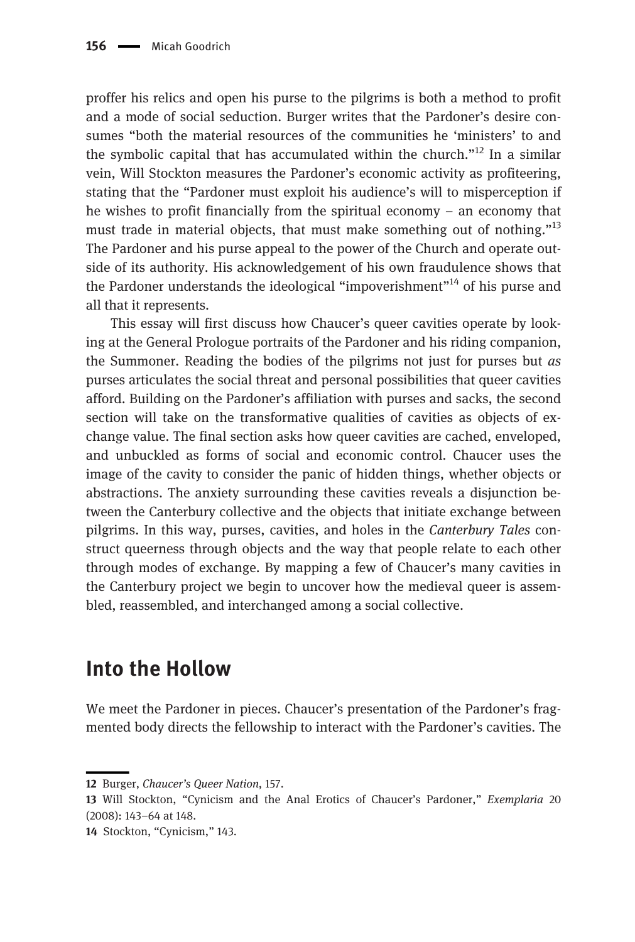proffer his relics and open his purse to the pilgrims is both a method to profit and a mode of social seduction. Burger writes that the Pardoner's desire consumes "both the material resources of the communities he 'ministers' to and the symbolic capital that has accumulated within the church."<sup>12</sup> In a similar vein, Will Stockton measures the Pardoner's economic activity as profiteering, stating that the "Pardoner must exploit his audience's will to misperception if he wishes to profit financially from the spiritual economy – an economy that must trade in material objects, that must make something out of nothing."<sup>13</sup> The Pardoner and his purse appeal to the power of the Church and operate outside of its authority. His acknowledgement of his own fraudulence shows that the Pardoner understands the ideological "impoverishment"<sup>14</sup> of his purse and all that it represents.

This essay will first discuss how Chaucer's queer cavities operate by looking at the General Prologue portraits of the Pardoner and his riding companion, the Summoner. Reading the bodies of the pilgrims not just for purses but as purses articulates the social threat and personal possibilities that queer cavities afford. Building on the Pardoner's affiliation with purses and sacks, the second section will take on the transformative qualities of cavities as objects of exchange value. The final section asks how queer cavities are cached, enveloped, and unbuckled as forms of social and economic control. Chaucer uses the image of the cavity to consider the panic of hidden things, whether objects or abstractions. The anxiety surrounding these cavities reveals a disjunction between the Canterbury collective and the objects that initiate exchange between pilgrims. In this way, purses, cavities, and holes in the Canterbury Tales construct queerness through objects and the way that people relate to each other through modes of exchange. By mapping a few of Chaucer's many cavities in the Canterbury project we begin to uncover how the medieval queer is assembled, reassembled, and interchanged among a social collective.

#### Into the Hollow

We meet the Pardoner in pieces. Chaucer's presentation of the Pardoner's fragmented body directs the fellowship to interact with the Pardoner's cavities. The

<sup>12</sup> Burger, Chaucer's Queer Nation, 157.

<sup>13</sup> Will Stockton, "Cynicism and the Anal Erotics of Chaucer's Pardoner," Exemplaria 20 (2008): 143–64 at 148.

<sup>14</sup> Stockton, "Cynicism," 143.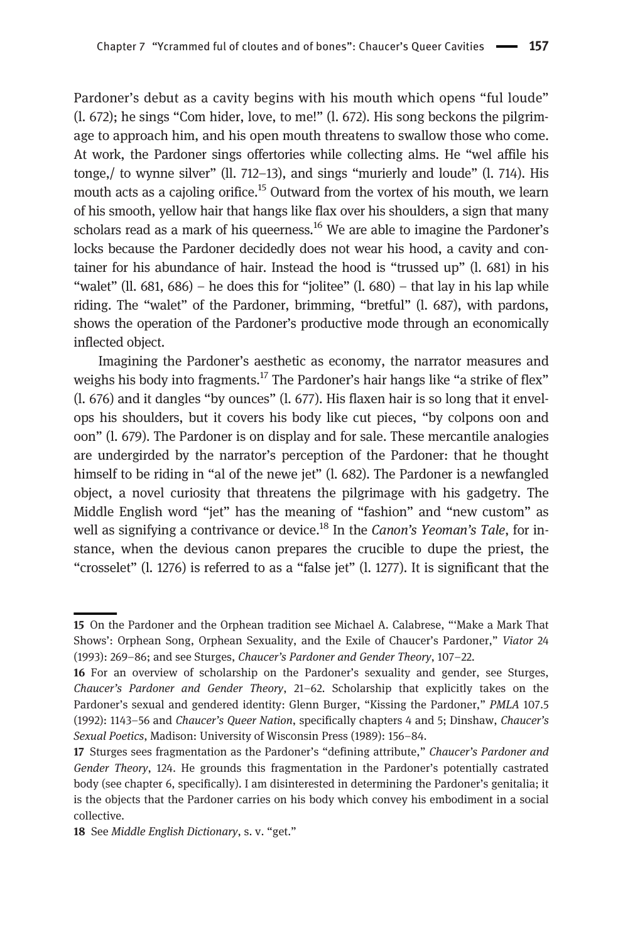Pardoner's debut as a cavity begins with his mouth which opens "ful loude" (l. 672); he sings "Com hider, love, to me!" (l. 672). His song beckons the pilgrimage to approach him, and his open mouth threatens to swallow those who come. At work, the Pardoner sings offertories while collecting alms. He "wel affile his tonge,/ to wynne silver" (ll. 712–13), and sings "murierly and loude" (l. 714). His mouth acts as a cajoling orifice.<sup>15</sup> Outward from the vortex of his mouth, we learn of his smooth, yellow hair that hangs like flax over his shoulders, a sign that many scholars read as a mark of his queerness.<sup>16</sup> We are able to imagine the Pardoner's locks because the Pardoner decidedly does not wear his hood, a cavity and container for his abundance of hair. Instead the hood is "trussed up" (l. 681) in his "walet" (ll.  $681, 686$ ) – he does this for "jolitee" (l.  $680$ ) – that lay in his lap while riding. The "walet" of the Pardoner, brimming, "bretful" (l. 687), with pardons, shows the operation of the Pardoner's productive mode through an economically inflected object.

Imagining the Pardoner's aesthetic as economy, the narrator measures and weighs his body into fragments.<sup>17</sup> The Pardoner's hair hangs like "a strike of flex" (l. 676) and it dangles "by ounces" (l. 677). His flaxen hair is so long that it envelops his shoulders, but it covers his body like cut pieces, "by colpons oon and oon" (l. 679). The Pardoner is on display and for sale. These mercantile analogies are undergirded by the narrator's perception of the Pardoner: that he thought himself to be riding in "al of the newe jet" (l. 682). The Pardoner is a newfangled object, a novel curiosity that threatens the pilgrimage with his gadgetry. The Middle English word "jet" has the meaning of "fashion" and "new custom" as well as signifying a contrivance or device.<sup>18</sup> In the *Canon's Yeoman's Tale*, for instance, when the devious canon prepares the crucible to dupe the priest, the "crosselet" (l. 1276) is referred to as a "false jet" (l. 1277). It is significant that the

<sup>15</sup> On the Pardoner and the Orphean tradition see Michael A. Calabrese, "'Make a Mark That Shows': Orphean Song, Orphean Sexuality, and the Exile of Chaucer's Pardoner," Viator 24 (1993): 269–86; and see Sturges, Chaucer's Pardoner and Gender Theory, 107–22.

<sup>16</sup> For an overview of scholarship on the Pardoner's sexuality and gender, see Sturges, Chaucer's Pardoner and Gender Theory, 21–62. Scholarship that explicitly takes on the Pardoner's sexual and gendered identity: Glenn Burger, "Kissing the Pardoner," PMLA 107.5 (1992): 1143–56 and Chaucer's Queer Nation, specifically chapters 4 and 5; Dinshaw, Chaucer's Sexual Poetics, Madison: University of Wisconsin Press (1989): 156–84.

<sup>17</sup> Sturges sees fragmentation as the Pardoner's "defining attribute," Chaucer's Pardoner and Gender Theory, 124. He grounds this fragmentation in the Pardoner's potentially castrated body (see chapter 6, specifically). I am disinterested in determining the Pardoner's genitalia; it is the objects that the Pardoner carries on his body which convey his embodiment in a social collective.

<sup>18</sup> See Middle English Dictionary, s. v. "get."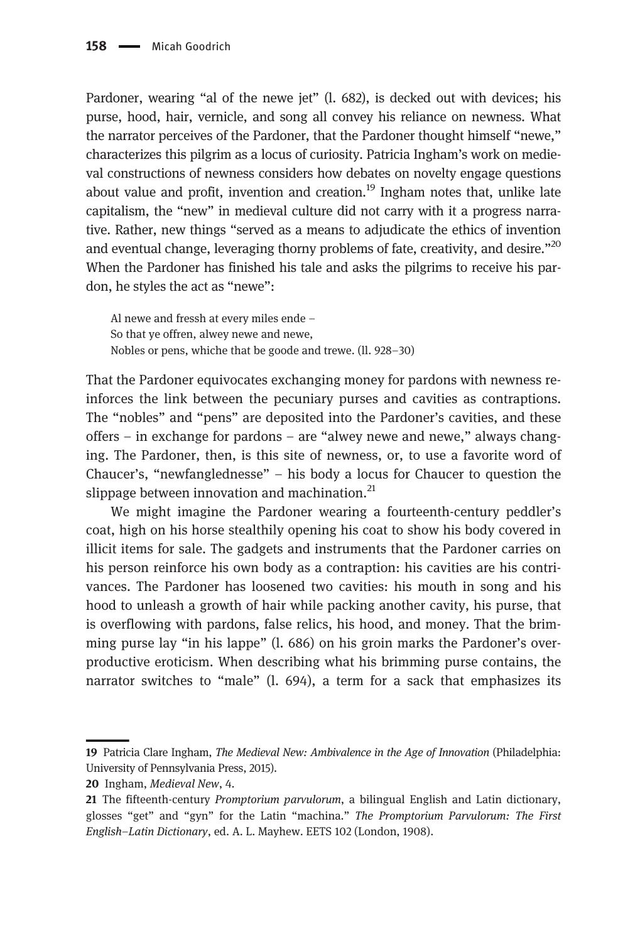Pardoner, wearing "al of the newe jet" (l. 682), is decked out with devices; his purse, hood, hair, vernicle, and song all convey his reliance on newness. What the narrator perceives of the Pardoner, that the Pardoner thought himself "newe," characterizes this pilgrim as a locus of curiosity. Patricia Ingham's work on medieval constructions of newness considers how debates on novelty engage questions about value and profit, invention and creation.<sup>19</sup> Ingham notes that, unlike late capitalism, the "new" in medieval culture did not carry with it a progress narrative. Rather, new things "served as a means to adjudicate the ethics of invention and eventual change, leveraging thorny problems of fate, creativity, and desire."<sup>20</sup> When the Pardoner has finished his tale and asks the pilgrims to receive his pardon, he styles the act as "newe":

Al newe and fressh at every miles ende – So that ye offren, alwey newe and newe, Nobles or pens, whiche that be goode and trewe. (ll. 928–30)

That the Pardoner equivocates exchanging money for pardons with newness reinforces the link between the pecuniary purses and cavities as contraptions. The "nobles" and "pens" are deposited into the Pardoner's cavities, and these offers – in exchange for pardons – are "alwey newe and newe," always changing. The Pardoner, then, is this site of newness, or, to use a favorite word of Chaucer's, "newfanglednesse" – his body a locus for Chaucer to question the slippage between innovation and machination. $^{21}$ 

We might imagine the Pardoner wearing a fourteenth-century peddler's coat, high on his horse stealthily opening his coat to show his body covered in illicit items for sale. The gadgets and instruments that the Pardoner carries on his person reinforce his own body as a contraption: his cavities are his contrivances. The Pardoner has loosened two cavities: his mouth in song and his hood to unleash a growth of hair while packing another cavity, his purse, that is overflowing with pardons, false relics, his hood, and money. That the brimming purse lay "in his lappe" (l. 686) on his groin marks the Pardoner's overproductive eroticism. When describing what his brimming purse contains, the narrator switches to "male" (l. 694), a term for a sack that emphasizes its

20 Ingham, Medieval New, 4.

<sup>19</sup> Patricia Clare Ingham, The Medieval New: Ambivalence in the Age of Innovation (Philadelphia: University of Pennsylvania Press, 2015).

<sup>21</sup> The fifteenth-century Promptorium parvulorum, a bilingual English and Latin dictionary, glosses "get" and "gyn" for the Latin "machina." The Promptorium Parvulorum: The First English–Latin Dictionary, ed. A. L. Mayhew. EETS 102 (London, 1908).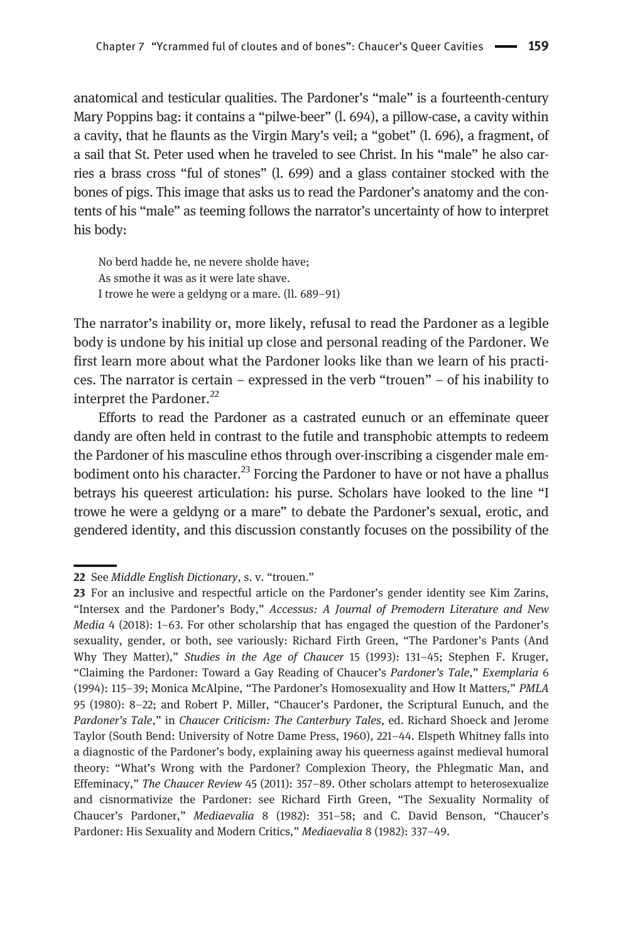anatomical and testicular qualities. The Pardoner's "male" is a fourteenth-century Mary Poppins bag: it contains a "pilwe-beer" (l. 694), a pillow-case, a cavity within a cavity, that he flaunts as the Virgin Mary's veil; a "gobet" (l. 696), a fragment, of a sail that St. Peter used when he traveled to see Christ. In his "male" he also carries a brass cross "ful of stones" (l. 699) and a glass container stocked with the bones of pigs. This image that asks us to read the Pardoner's anatomy and the contents of his "male" as teeming follows the narrator's uncertainty of how to interpret his body:

No berd hadde he, ne nevere sholde have; As smothe it was as it were late shave. I trowe he were a geldyng or a mare. (ll. 689–91)

The narrator's inability or, more likely, refusal to read the Pardoner as a legible body is undone by his initial up close and personal reading of the Pardoner. We first learn more about what the Pardoner looks like than we learn of his practices. The narrator is certain – expressed in the verb "trouen" – of his inability to interpret the Pardoner.<sup>22</sup>

Efforts to read the Pardoner as a castrated eunuch or an effeminate queer dandy are often held in contrast to the futile and transphobic attempts to redeem the Pardoner of his masculine ethos through over-inscribing a cisgender male embodiment onto his character.<sup>23</sup> Forcing the Pardoner to have or not have a phallus betrays his queerest articulation: his purse. Scholars have looked to the line "I trowe he were a geldyng or a mare" to debate the Pardoner's sexual, erotic, and gendered identity, and this discussion constantly focuses on the possibility of the

<sup>22</sup> See Middle English Dictionary, s. v. "trouen."

<sup>23</sup> For an inclusive and respectful article on the Pardoner's gender identity see Kim Zarins, "Intersex and the Pardoner's Body," Accessus: A Journal of Premodern Literature and New Media 4 (2018): 1–63. For other scholarship that has engaged the question of the Pardoner's sexuality, gender, or both, see variously: Richard Firth Green, "The Pardoner's Pants (And Why They Matter)," Studies in the Age of Chaucer 15 (1993): 131–45; Stephen F. Kruger, "Claiming the Pardoner: Toward a Gay Reading of Chaucer's Pardoner's Tale," Exemplaria 6 (1994): 115–39; Monica McAlpine, "The Pardoner's Homosexuality and How It Matters," PMLA 95 (1980): 8–22; and Robert P. Miller, "Chaucer's Pardoner, the Scriptural Eunuch, and the Pardoner's Tale," in Chaucer Criticism: The Canterbury Tales, ed. Richard Shoeck and Jerome Taylor (South Bend: University of Notre Dame Press, 1960), 221–44. Elspeth Whitney falls into a diagnostic of the Pardoner's body, explaining away his queerness against medieval humoral theory: "What's Wrong with the Pardoner? Complexion Theory, the Phlegmatic Man, and Effeminacy," The Chaucer Review 45 (2011): 357–89. Other scholars attempt to heterosexualize and cisnormativize the Pardoner: see Richard Firth Green, "The Sexuality Normality of Chaucer's Pardoner," Mediaevalia 8 (1982): 351–58; and C. David Benson, "Chaucer's Pardoner: His Sexuality and Modern Critics," Mediaevalia 8 (1982): 337-49.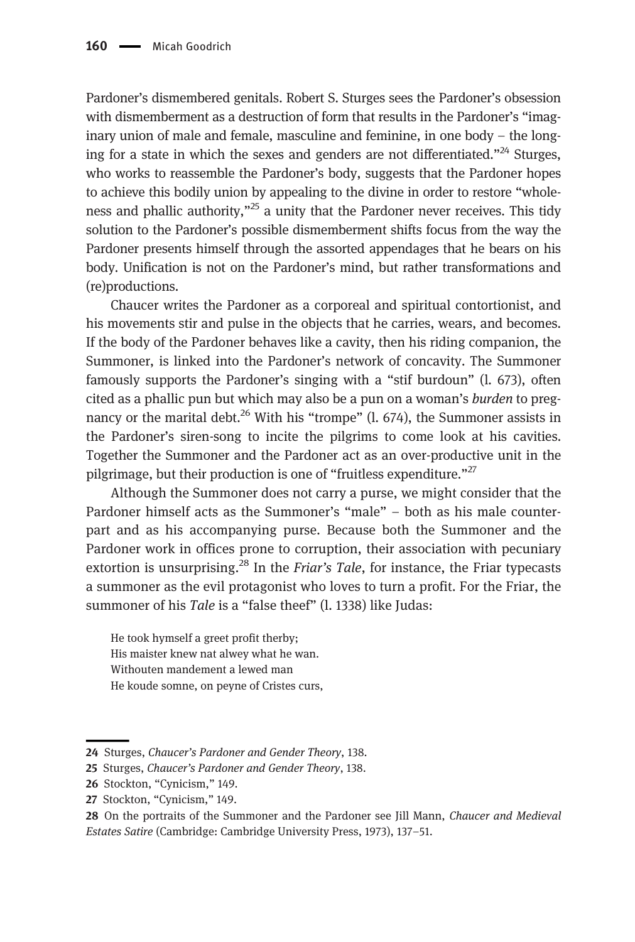Pardoner's dismembered genitals. Robert S. Sturges sees the Pardoner's obsession with dismemberment as a destruction of form that results in the Pardoner's "imaginary union of male and female, masculine and feminine, in one body – the longing for a state in which the sexes and genders are not differentiated."<sup>24</sup> Sturges, who works to reassemble the Pardoner's body, suggests that the Pardoner hopes to achieve this bodily union by appealing to the divine in order to restore "wholeness and phallic authority, $n^{25}$  a unity that the Pardoner never receives. This tidy solution to the Pardoner's possible dismemberment shifts focus from the way the Pardoner presents himself through the assorted appendages that he bears on his body. Unification is not on the Pardoner's mind, but rather transformations and (re)productions.

Chaucer writes the Pardoner as a corporeal and spiritual contortionist, and his movements stir and pulse in the objects that he carries, wears, and becomes. If the body of the Pardoner behaves like a cavity, then his riding companion, the Summoner, is linked into the Pardoner's network of concavity. The Summoner famously supports the Pardoner's singing with a "stif burdoun" (l. 673), often cited as a phallic pun but which may also be a pun on a woman's *burden* to pregnancy or the marital debt.<sup>26</sup> With his "trompe" (l. 674), the Summoner assists in the Pardoner's siren-song to incite the pilgrims to come look at his cavities. Together the Summoner and the Pardoner act as an over-productive unit in the pilgrimage, but their production is one of "fruitless expenditure."<sup>27</sup>

Although the Summoner does not carry a purse, we might consider that the Pardoner himself acts as the Summoner's "male" – both as his male counterpart and as his accompanying purse. Because both the Summoner and the Pardoner work in offices prone to corruption, their association with pecuniary extortion is unsurprising. $^{28}$  In the *Friar's Tale*, for instance, the Friar typecasts a summoner as the evil protagonist who loves to turn a profit. For the Friar, the summoner of his Tale is a "false theef" (l. 1338) like Judas:

He took hymself a greet profit therby; His maister knew nat alwey what he wan. Withouten mandement a lewed man He koude somne, on peyne of Cristes curs,

<sup>24</sup> Sturges, Chaucer's Pardoner and Gender Theory, 138.

<sup>25</sup> Sturges, Chaucer's Pardoner and Gender Theory, 138.

<sup>26</sup> Stockton, "Cynicism," 149.

<sup>27</sup> Stockton, "Cynicism," 149.

<sup>28</sup> On the portraits of the Summoner and the Pardoner see Jill Mann, Chaucer and Medieval Estates Satire (Cambridge: Cambridge University Press, 1973), 137–51.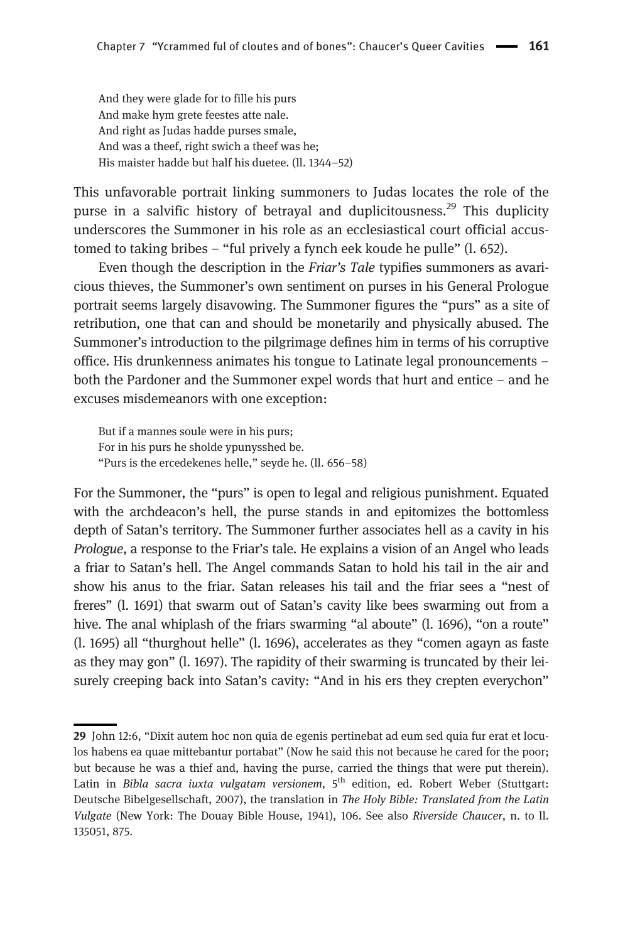And they were glade for to fille his purs And make hym grete feestes atte nale. And right as Judas hadde purses smale, And was a theef, right swich a theef was he; His maister hadde but half his duetee. (ll. 1344–52)

This unfavorable portrait linking summoners to Judas locates the role of the purse in a salvific history of betrayal and duplicitousness.<sup>29</sup> This duplicity underscores the Summoner in his role as an ecclesiastical court official accustomed to taking bribes – "ful prively a fynch eek koude he pulle" (l. 652).

Even though the description in the Friar's Tale typifies summoners as avaricious thieves, the Summoner's own sentiment on purses in his General Prologue portrait seems largely disavowing. The Summoner figures the "purs" as a site of retribution, one that can and should be monetarily and physically abused. The Summoner's introduction to the pilgrimage defines him in terms of his corruptive office. His drunkenness animates his tongue to Latinate legal pronouncements – both the Pardoner and the Summoner expel words that hurt and entice – and he excuses misdemeanors with one exception:

But if a mannes soule were in his purs; For in his purs he sholde ypunysshed be. "Purs is the ercedekenes helle," seyde he. (ll. 656–58)

For the Summoner, the "purs" is open to legal and religious punishment. Equated with the archdeacon's hell, the purse stands in and epitomizes the bottomless depth of Satan's territory. The Summoner further associates hell as a cavity in his Prologue, a response to the Friar's tale. He explains a vision of an Angel who leads a friar to Satan's hell. The Angel commands Satan to hold his tail in the air and show his anus to the friar. Satan releases his tail and the friar sees a "nest of freres" (l. 1691) that swarm out of Satan's cavity like bees swarming out from a hive. The anal whiplash of the friars swarming "al aboute" (1, 1696), "on a route" (l. 1695) all "thurghout helle" (l. 1696), accelerates as they "comen agayn as faste as they may gon" (l. 1697). The rapidity of their swarming is truncated by their leisurely creeping back into Satan's cavity: "And in his ers they crepten everychon"

<sup>29</sup> John 12:6, "Dixit autem hoc non quia de egenis pertinebat ad eum sed quia fur erat et loculos habens ea quae mittebantur portabat" (Now he said this not because he cared for the poor; but because he was a thief and, having the purse, carried the things that were put therein). Latin in Bibla sacra iuxta vulgatam versionem, 5<sup>th</sup> edition, ed. Robert Weber (Stuttgart: Deutsche Bibelgesellschaft, 2007), the translation in The Holy Bible: Translated from the Latin Vulgate (New York: The Douay Bible House, 1941), 106. See also Riverside Chaucer, n. to ll. 135051, 875.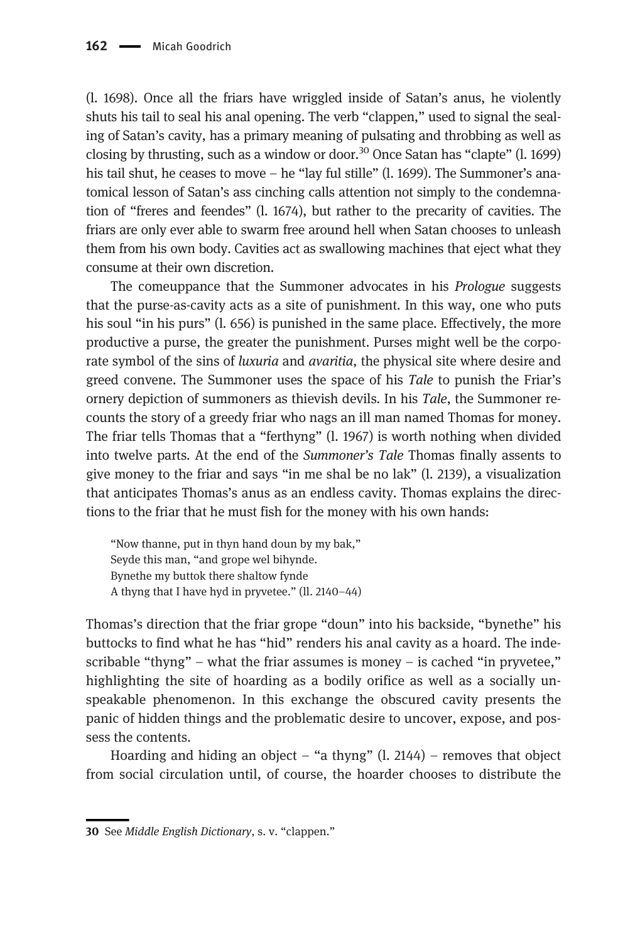(l. 1698). Once all the friars have wriggled inside of Satan's anus, he violently shuts his tail to seal his anal opening. The verb "clappen," used to signal the sealing of Satan's cavity, has a primary meaning of pulsating and throbbing as well as closing by thrusting, such as a window or door.<sup>30</sup> Once Satan has "clapte"  $(l. 1699)$ his tail shut, he ceases to move – he "lay ful stille" (l. 1699). The Summoner's anatomical lesson of Satan's ass cinching calls attention not simply to the condemnation of "freres and feendes" (l. 1674), but rather to the precarity of cavities. The friars are only ever able to swarm free around hell when Satan chooses to unleash them from his own body. Cavities act as swallowing machines that eject what they consume at their own discretion.

The comeuppance that the Summoner advocates in his Prologue suggests that the purse-as-cavity acts as a site of punishment. In this way, one who puts his soul "in his purs" (l. 656) is punished in the same place. Effectively, the more productive a purse, the greater the punishment. Purses might well be the corporate symbol of the sins of *luxuria* and *avaritia*, the physical site where desire and greed convene. The Summoner uses the space of his Tale to punish the Friar's ornery depiction of summoners as thievish devils. In his Tale, the Summoner recounts the story of a greedy friar who nags an ill man named Thomas for money. The friar tells Thomas that a "ferthyng" (l. 1967) is worth nothing when divided into twelve parts. At the end of the Summoner's Tale Thomas finally assents to give money to the friar and says "in me shal be no lak" (l. 2139), a visualization that anticipates Thomas's anus as an endless cavity. Thomas explains the directions to the friar that he must fish for the money with his own hands:

"Now thanne, put in thyn hand doun by my bak," Seyde this man, "and grope wel bihynde. Bynethe my buttok there shaltow fynde A thyng that I have hyd in pryvetee." (ll. 2140–44)

Thomas's direction that the friar grope "doun" into his backside, "bynethe" his buttocks to find what he has "hid" renders his anal cavity as a hoard. The indescribable "thyng" – what the friar assumes is money – is cached "in pryvetee," highlighting the site of hoarding as a bodily orifice as well as a socially unspeakable phenomenon. In this exchange the obscured cavity presents the panic of hidden things and the problematic desire to uncover, expose, and possess the contents.

Hoarding and hiding an object – "a thyng"  $(l, 2144)$  – removes that object from social circulation until, of course, the hoarder chooses to distribute the

<sup>30</sup> See Middle English Dictionary, s. v. "clappen."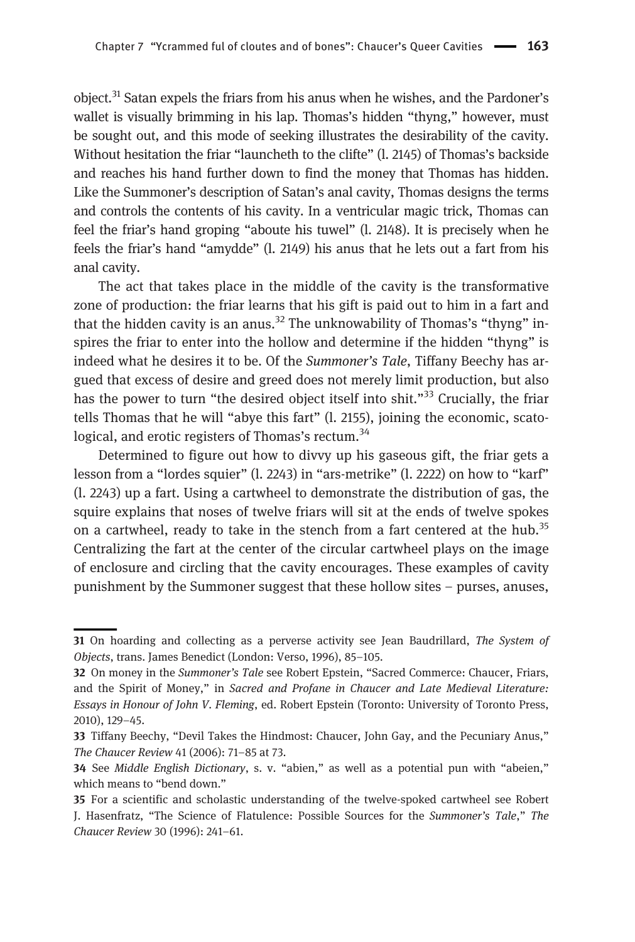object.<sup>31</sup> Satan expels the friars from his anus when he wishes, and the Pardoner's wallet is visually brimming in his lap. Thomas's hidden "thyng," however, must be sought out, and this mode of seeking illustrates the desirability of the cavity. Without hesitation the friar "launcheth to the clifte" (l. 2145) of Thomas's backside and reaches his hand further down to find the money that Thomas has hidden. Like the Summoner's description of Satan's anal cavity, Thomas designs the terms and controls the contents of his cavity. In a ventricular magic trick, Thomas can feel the friar's hand groping "aboute his tuwel" (l. 2148). It is precisely when he feels the friar's hand "amydde" (l. 2149) his anus that he lets out a fart from his anal cavity.

The act that takes place in the middle of the cavity is the transformative zone of production: the friar learns that his gift is paid out to him in a fart and that the hidden cavity is an anus.<sup>32</sup> The unknowability of Thomas's "thyng" inspires the friar to enter into the hollow and determine if the hidden "thyng" is indeed what he desires it to be. Of the *Summoner's Tale*, Tiffany Beechy has argued that excess of desire and greed does not merely limit production, but also has the power to turn "the desired object itself into shit."<sup>33</sup> Crucially, the friar tells Thomas that he will "abye this fart" (l. 2155), joining the economic, scatological, and erotic registers of Thomas's rectum.<sup>34</sup>

Determined to figure out how to divvy up his gaseous gift, the friar gets a lesson from a "lordes squier" (l. 2243) in "ars-metrike" (l. 2222) on how to "karf" (l. 2243) up a fart. Using a cartwheel to demonstrate the distribution of gas, the squire explains that noses of twelve friars will sit at the ends of twelve spokes on a cartwheel, ready to take in the stench from a fart centered at the hub.<sup>35</sup> Centralizing the fart at the center of the circular cartwheel plays on the image of enclosure and circling that the cavity encourages. These examples of cavity punishment by the Summoner suggest that these hollow sites – purses, anuses,

<sup>31</sup> On hoarding and collecting as a perverse activity see Jean Baudrillard, The System of Objects, trans. James Benedict (London: Verso, 1996), 85–105.

<sup>32</sup> On money in the Summoner's Tale see Robert Epstein, "Sacred Commerce: Chaucer, Friars, and the Spirit of Money," in Sacred and Profane in Chaucer and Late Medieval Literature: Essays in Honour of John V. Fleming, ed. Robert Epstein (Toronto: University of Toronto Press, 2010), 129–45.

<sup>33</sup> Tiffany Beechy, "Devil Takes the Hindmost: Chaucer, John Gay, and the Pecuniary Anus," The Chaucer Review 41 (2006): 71–85 at 73.

<sup>34</sup> See Middle English Dictionary, s. v. "abien," as well as a potential pun with "abeien," which means to "bend down."

<sup>35</sup> For a scientific and scholastic understanding of the twelve-spoked cartwheel see Robert J. Hasenfratz, "The Science of Flatulence: Possible Sources for the Summoner's Tale," The Chaucer Review 30 (1996): 241–61.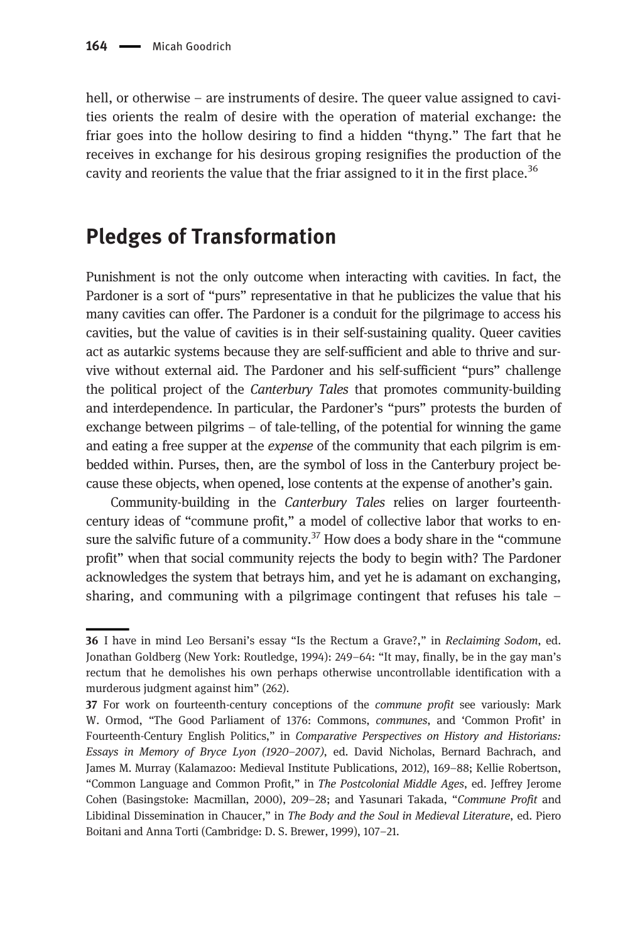hell, or otherwise – are instruments of desire. The queer value assigned to cavities orients the realm of desire with the operation of material exchange: the friar goes into the hollow desiring to find a hidden "thyng." The fart that he receives in exchange for his desirous groping resignifies the production of the cavity and reorients the value that the friar assigned to it in the first place.<sup>36</sup>

### Pledges of Transformation

Punishment is not the only outcome when interacting with cavities. In fact, the Pardoner is a sort of "purs" representative in that he publicizes the value that his many cavities can offer. The Pardoner is a conduit for the pilgrimage to access his cavities, but the value of cavities is in their self-sustaining quality. Queer cavities act as autarkic systems because they are self-sufficient and able to thrive and survive without external aid. The Pardoner and his self-sufficient "purs" challenge the political project of the Canterbury Tales that promotes community-building and interdependence. In particular, the Pardoner's "purs" protests the burden of exchange between pilgrims – of tale-telling, of the potential for winning the game and eating a free supper at the *expense* of the community that each pilgrim is embedded within. Purses, then, are the symbol of loss in the Canterbury project because these objects, when opened, lose contents at the expense of another's gain.

Community-building in the Canterbury Tales relies on larger fourteenthcentury ideas of "commune profit," a model of collective labor that works to ensure the salvific future of a community.<sup>37</sup> How does a body share in the "commune profit" when that social community rejects the body to begin with? The Pardoner acknowledges the system that betrays him, and yet he is adamant on exchanging, sharing, and communing with a pilgrimage contingent that refuses his tale –

<sup>36</sup> I have in mind Leo Bersani's essay "Is the Rectum a Grave?," in Reclaiming Sodom, ed. Jonathan Goldberg (New York: Routledge, 1994): 249–64: "It may, finally, be in the gay man's rectum that he demolishes his own perhaps otherwise uncontrollable identification with a murderous judgment against him" (262).

<sup>37</sup> For work on fourteenth-century conceptions of the commune profit see variously: Mark W. Ormod, "The Good Parliament of 1376: Commons, communes, and 'Common Profit' in Fourteenth-Century English Politics," in Comparative Perspectives on History and Historians: Essays in Memory of Bryce Lyon (1920–2007), ed. David Nicholas, Bernard Bachrach, and James M. Murray (Kalamazoo: Medieval Institute Publications, 2012), 169–88; Kellie Robertson, "Common Language and Common Profit," in The Postcolonial Middle Ages, ed. Jeffrey Jerome Cohen (Basingstoke: Macmillan, 2000), 209–28; and Yasunari Takada, "Commune Profit and Libidinal Dissemination in Chaucer," in The Body and the Soul in Medieval Literature, ed. Piero Boitani and Anna Torti (Cambridge: D. S. Brewer, 1999), 107–21.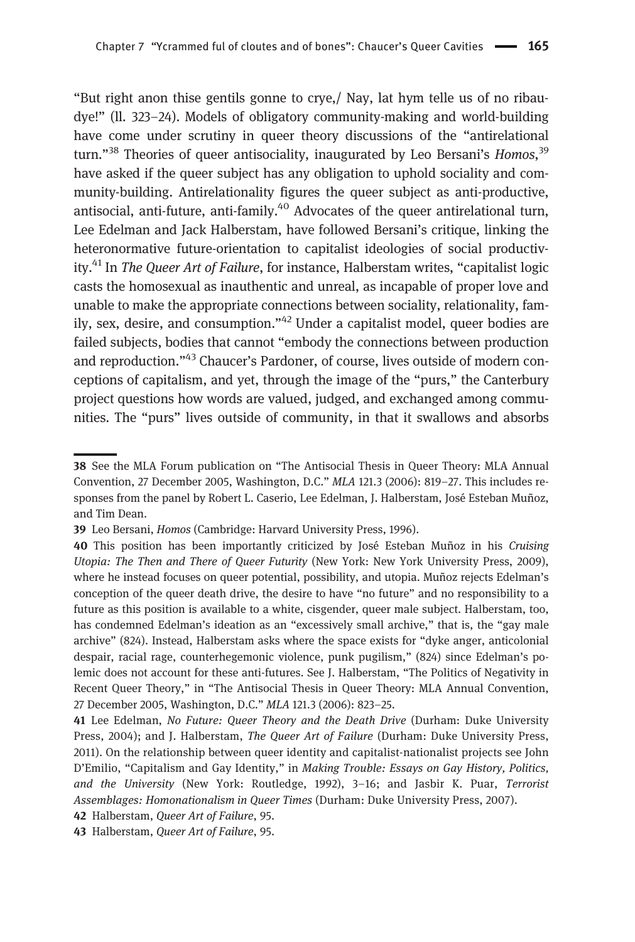"But right anon thise gentils gonne to crye,/ Nay, lat hym telle us of no ribaudye!" (ll. 323–24). Models of obligatory community-making and world-building have come under scrutiny in queer theory discussions of the "antirelational turn."<sup>38</sup> Theories of queer antisociality, inaugurated by Leo Bersani's *Homos*,<sup>39</sup> have asked if the queer subject has any obligation to uphold sociality and community-building. Antirelationality figures the queer subject as anti-productive, antisocial, anti-future, anti-family.<sup>40</sup> Advocates of the queer antirelational turn, Lee Edelman and Jack Halberstam, have followed Bersani's critique, linking the heteronormative future-orientation to capitalist ideologies of social productivity.<sup>41</sup> In The Queer Art of Failure, for instance, Halberstam writes, "capitalist logic casts the homosexual as inauthentic and unreal, as incapable of proper love and unable to make the appropriate connections between sociality, relationality, family, sex, desire, and consumption."<sup>42</sup> Under a capitalist model, queer bodies are failed subjects, bodies that cannot "embody the connections between production and reproduction."<sup>43</sup> Chaucer's Pardoner, of course, lives outside of modern conceptions of capitalism, and yet, through the image of the "purs," the Canterbury project questions how words are valued, judged, and exchanged among communities. The "purs" lives outside of community, in that it swallows and absorbs

<sup>38</sup> See the MLA Forum publication on "The Antisocial Thesis in Queer Theory: MLA Annual Convention, 27 December 2005, Washington, D.C." MLA 121.3 (2006): 819–27. This includes responses from the panel by Robert L. Caserio, Lee Edelman, J. Halberstam, José Esteban Muñoz, and Tim Dean.

<sup>39</sup> Leo Bersani, Homos (Cambridge: Harvard University Press, 1996).

<sup>40</sup> This position has been importantly criticized by José Esteban Muñoz in his Cruising Utopia: The Then and There of Queer Futurity (New York: New York University Press, 2009), where he instead focuses on queer potential, possibility, and utopia. Muñoz rejects Edelman's conception of the queer death drive, the desire to have "no future" and no responsibility to a future as this position is available to a white, cisgender, queer male subject. Halberstam, too, has condemned Edelman's ideation as an "excessively small archive," that is, the "gay male archive" (824). Instead, Halberstam asks where the space exists for "dyke anger, anticolonial despair, racial rage, counterhegemonic violence, punk pugilism," (824) since Edelman's polemic does not account for these anti-futures. See J. Halberstam, "The Politics of Negativity in Recent Queer Theory," in "The Antisocial Thesis in Queer Theory: MLA Annual Convention, 27 December 2005, Washington, D.C." MLA 121.3 (2006): 823–25.

<sup>41</sup> Lee Edelman, No Future: Queer Theory and the Death Drive (Durham: Duke University Press, 2004); and J. Halberstam, The Queer Art of Failure (Durham: Duke University Press, 2011). On the relationship between queer identity and capitalist-nationalist projects see John D'Emilio, "Capitalism and Gay Identity," in Making Trouble: Essays on Gay History, Politics, and the University (New York: Routledge, 1992), 3–16; and Jasbir K. Puar, Terrorist Assemblages: Homonationalism in Queer Times (Durham: Duke University Press, 2007).

<sup>42</sup> Halberstam, Queer Art of Failure, 95.

<sup>43</sup> Halberstam, Queer Art of Failure, 95.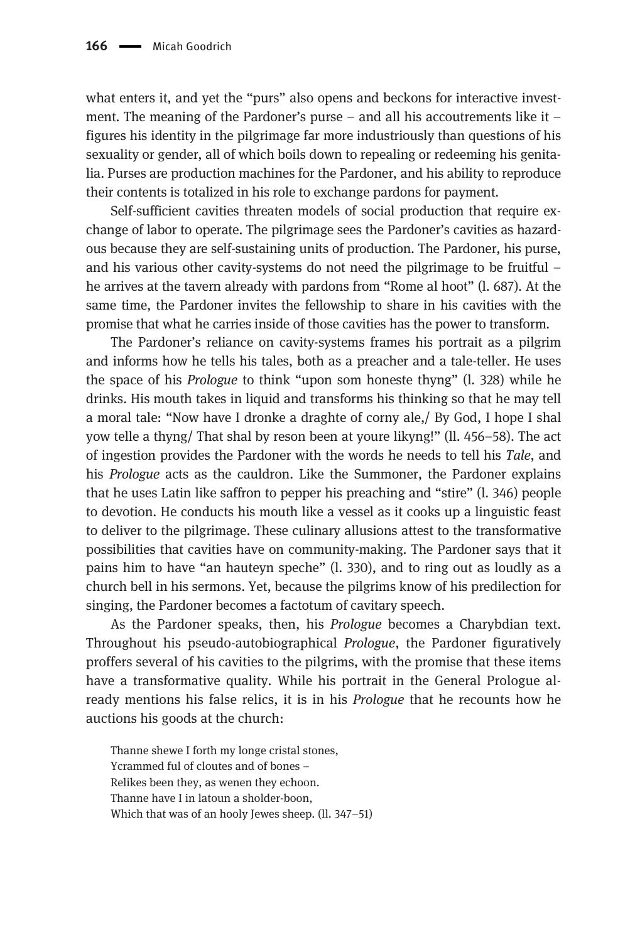what enters it, and yet the "purs" also opens and beckons for interactive investment. The meaning of the Pardoner's purse – and all his accoutrements like it – figures his identity in the pilgrimage far more industriously than questions of his sexuality or gender, all of which boils down to repealing or redeeming his genitalia. Purses are production machines for the Pardoner, and his ability to reproduce their contents is totalized in his role to exchange pardons for payment.

Self-sufficient cavities threaten models of social production that require exchange of labor to operate. The pilgrimage sees the Pardoner's cavities as hazardous because they are self-sustaining units of production. The Pardoner, his purse, and his various other cavity-systems do not need the pilgrimage to be fruitful – he arrives at the tavern already with pardons from "Rome al hoot" (l. 687). At the same time, the Pardoner invites the fellowship to share in his cavities with the promise that what he carries inside of those cavities has the power to transform.

The Pardoner's reliance on cavity-systems frames his portrait as a pilgrim and informs how he tells his tales, both as a preacher and a tale-teller. He uses the space of his Prologue to think "upon som honeste thyng" (l. 328) while he drinks. His mouth takes in liquid and transforms his thinking so that he may tell a moral tale: "Now have I dronke a draghte of corny ale,/ By God, I hope I shal yow telle a thyng/ That shal by reson been at youre likyng!" (ll. 456–58). The act of ingestion provides the Pardoner with the words he needs to tell his Tale, and his Prologue acts as the cauldron. Like the Summoner, the Pardoner explains that he uses Latin like saffron to pepper his preaching and "stire" (l. 346) people to devotion. He conducts his mouth like a vessel as it cooks up a linguistic feast to deliver to the pilgrimage. These culinary allusions attest to the transformative possibilities that cavities have on community-making. The Pardoner says that it pains him to have "an hauteyn speche" (l. 330), and to ring out as loudly as a church bell in his sermons. Yet, because the pilgrims know of his predilection for singing, the Pardoner becomes a factotum of cavitary speech.

As the Pardoner speaks, then, his Prologue becomes a Charybdian text. Throughout his pseudo-autobiographical Prologue, the Pardoner figuratively proffers several of his cavities to the pilgrims, with the promise that these items have a transformative quality. While his portrait in the General Prologue already mentions his false relics, it is in his Prologue that he recounts how he auctions his goods at the church:

Thanne shewe I forth my longe cristal stones, Ycrammed ful of cloutes and of bones – Relikes been they, as wenen they echoon. Thanne have I in latoun a sholder-boon, Which that was of an hooly Jewes sheep. (11, 347–51)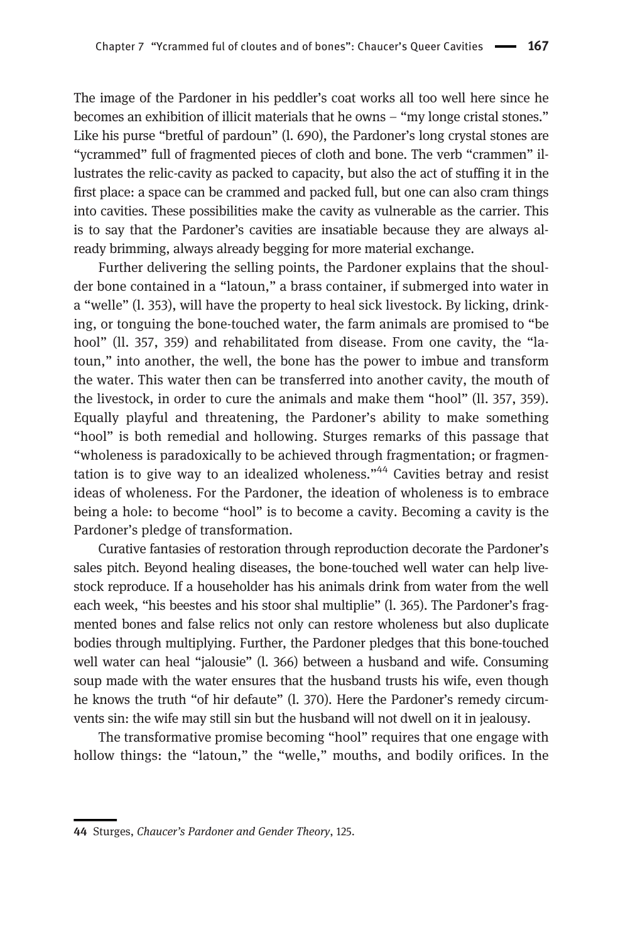The image of the Pardoner in his peddler's coat works all too well here since he becomes an exhibition of illicit materials that he owns – "my longe cristal stones." Like his purse "bretful of pardoun" (l. 690), the Pardoner's long crystal stones are "ycrammed" full of fragmented pieces of cloth and bone. The verb "crammen" illustrates the relic-cavity as packed to capacity, but also the act of stuffing it in the first place: a space can be crammed and packed full, but one can also cram things into cavities. These possibilities make the cavity as vulnerable as the carrier. This is to say that the Pardoner's cavities are insatiable because they are always already brimming, always already begging for more material exchange.

Further delivering the selling points, the Pardoner explains that the shoulder bone contained in a "latoun," a brass container, if submerged into water in a "welle" (l. 353), will have the property to heal sick livestock. By licking, drinking, or tonguing the bone-touched water, the farm animals are promised to "be hool" (ll. 357, 359) and rehabilitated from disease. From one cavity, the "latoun," into another, the well, the bone has the power to imbue and transform the water. This water then can be transferred into another cavity, the mouth of the livestock, in order to cure the animals and make them "hool" (ll. 357, 359). Equally playful and threatening, the Pardoner's ability to make something "hool" is both remedial and hollowing. Sturges remarks of this passage that "wholeness is paradoxically to be achieved through fragmentation; or fragmentation is to give way to an idealized wholeness."<sup>44</sup> Cavities betray and resist ideas of wholeness. For the Pardoner, the ideation of wholeness is to embrace being a hole: to become "hool" is to become a cavity. Becoming a cavity is the Pardoner's pledge of transformation.

Curative fantasies of restoration through reproduction decorate the Pardoner's sales pitch. Beyond healing diseases, the bone-touched well water can help livestock reproduce. If a householder has his animals drink from water from the well each week, "his beestes and his stoor shal multiplie" (l. 365). The Pardoner's fragmented bones and false relics not only can restore wholeness but also duplicate bodies through multiplying. Further, the Pardoner pledges that this bone-touched well water can heal "jalousie" (l. 366) between a husband and wife. Consuming soup made with the water ensures that the husband trusts his wife, even though he knows the truth "of hir defaute" (l. 370). Here the Pardoner's remedy circumvents sin: the wife may still sin but the husband will not dwell on it in jealousy.

The transformative promise becoming "hool" requires that one engage with hollow things: the "latoun," the "welle," mouths, and bodily orifices. In the

<sup>44</sup> Sturges, Chaucer's Pardoner and Gender Theory, 125.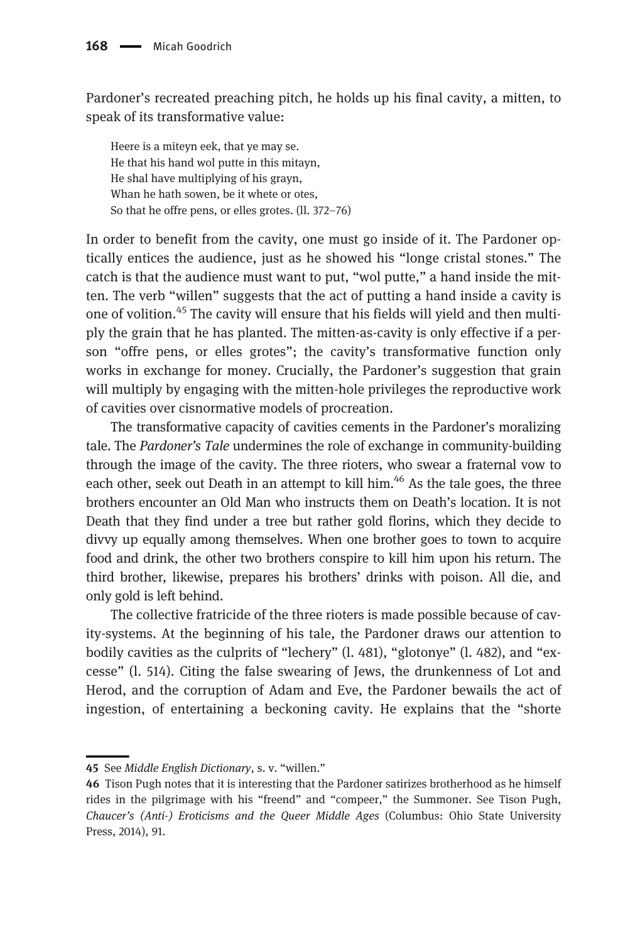Pardoner's recreated preaching pitch, he holds up his final cavity, a mitten, to speak of its transformative value:

Heere is a miteyn eek, that ye may se. He that his hand wol putte in this mitayn, He shal have multiplying of his grayn, Whan he hath sowen, be it whete or otes, So that he offre pens, or elles grotes. (ll. 372–76)

In order to benefit from the cavity, one must go inside of it. The Pardoner optically entices the audience, just as he showed his "longe cristal stones." The catch is that the audience must want to put, "wol putte," a hand inside the mitten. The verb "willen" suggests that the act of putting a hand inside a cavity is one of volition.<sup>45</sup> The cavity will ensure that his fields will yield and then multiply the grain that he has planted. The mitten-as-cavity is only effective if a person "offre pens, or elles grotes"; the cavity's transformative function only works in exchange for money. Crucially, the Pardoner's suggestion that grain will multiply by engaging with the mitten-hole privileges the reproductive work of cavities over cisnormative models of procreation.

The transformative capacity of cavities cements in the Pardoner's moralizing tale. The Pardoner's Tale undermines the role of exchange in community-building through the image of the cavity. The three rioters, who swear a fraternal vow to each other, seek out Death in an attempt to kill him.<sup>46</sup> As the tale goes, the three brothers encounter an Old Man who instructs them on Death's location. It is not Death that they find under a tree but rather gold florins, which they decide to divvy up equally among themselves. When one brother goes to town to acquire food and drink, the other two brothers conspire to kill him upon his return. The third brother, likewise, prepares his brothers' drinks with poison. All die, and only gold is left behind.

The collective fratricide of the three rioters is made possible because of cavity-systems. At the beginning of his tale, the Pardoner draws our attention to bodily cavities as the culprits of "lechery" (l. 481), "glotonye" (l. 482), and "excesse" (l. 514). Citing the false swearing of Jews, the drunkenness of Lot and Herod, and the corruption of Adam and Eve, the Pardoner bewails the act of ingestion, of entertaining a beckoning cavity. He explains that the "shorte

<sup>45</sup> See Middle English Dictionary, s. v. "willen."

<sup>46</sup> Tison Pugh notes that it is interesting that the Pardoner satirizes brotherhood as he himself rides in the pilgrimage with his "freend" and "compeer," the Summoner. See Tison Pugh, Chaucer's (Anti-) Eroticisms and the Queer Middle Ages (Columbus: Ohio State University Press, 2014), 91.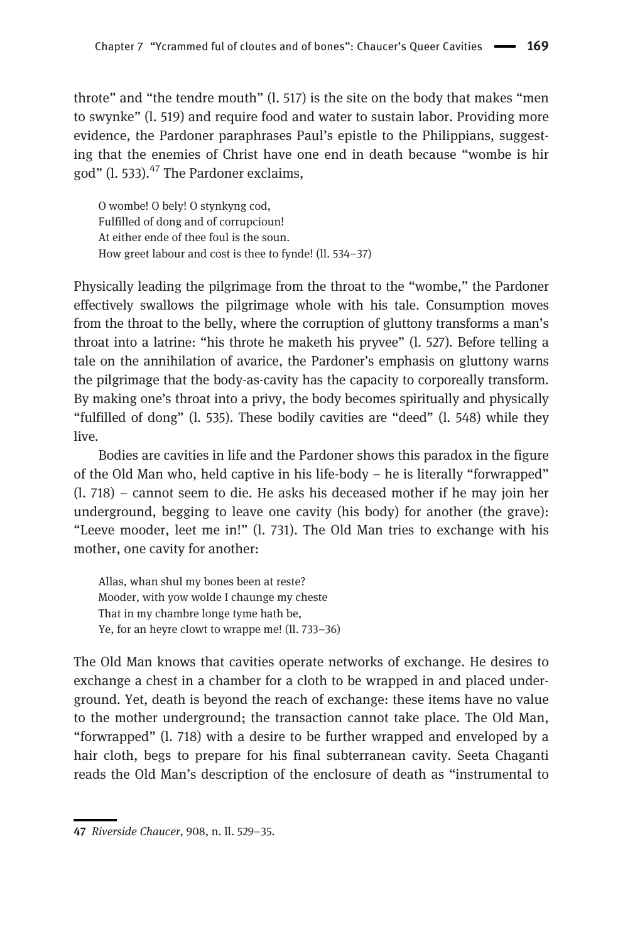throte" and "the tendre mouth" (l. 517) is the site on the body that makes "men to swynke" (l. 519) and require food and water to sustain labor. Providing more evidence, the Pardoner paraphrases Paul's epistle to the Philippians, suggesting that the enemies of Christ have one end in death because "wombe is hir god" (l. 533). $47$  The Pardoner exclaims,

O wombe! O bely! O stynkyng cod, Fulfilled of dong and of corrupcioun! At either ende of thee foul is the soun. How greet labour and cost is thee to fynde! (ll. 534–37)

Physically leading the pilgrimage from the throat to the "wombe," the Pardoner effectively swallows the pilgrimage whole with his tale. Consumption moves from the throat to the belly, where the corruption of gluttony transforms a man's throat into a latrine: "his throte he maketh his pryvee" (l. 527). Before telling a tale on the annihilation of avarice, the Pardoner's emphasis on gluttony warns the pilgrimage that the body-as-cavity has the capacity to corporeally transform. By making one's throat into a privy, the body becomes spiritually and physically "fulfilled of dong" (l. 535). These bodily cavities are "deed" (l. 548) while they live.

Bodies are cavities in life and the Pardoner shows this paradox in the figure of the Old Man who, held captive in his life-body – he is literally "forwrapped" (l. 718) – cannot seem to die. He asks his deceased mother if he may join her underground, begging to leave one cavity (his body) for another (the grave): "Leeve mooder, leet me in!" (l. 731). The Old Man tries to exchange with his mother, one cavity for another:

Allas, whan shul my bones been at reste? Mooder, with yow wolde I chaunge my cheste That in my chambre longe tyme hath be, Ye, for an heyre clowt to wrappe me! (ll. 733–36)

The Old Man knows that cavities operate networks of exchange. He desires to exchange a chest in a chamber for a cloth to be wrapped in and placed underground. Yet, death is beyond the reach of exchange: these items have no value to the mother underground; the transaction cannot take place. The Old Man, "forwrapped" (l. 718) with a desire to be further wrapped and enveloped by a hair cloth, begs to prepare for his final subterranean cavity. Seeta Chaganti reads the Old Man's description of the enclosure of death as "instrumental to

<sup>47</sup> Riverside Chaucer, 908, n. ll. 529–35.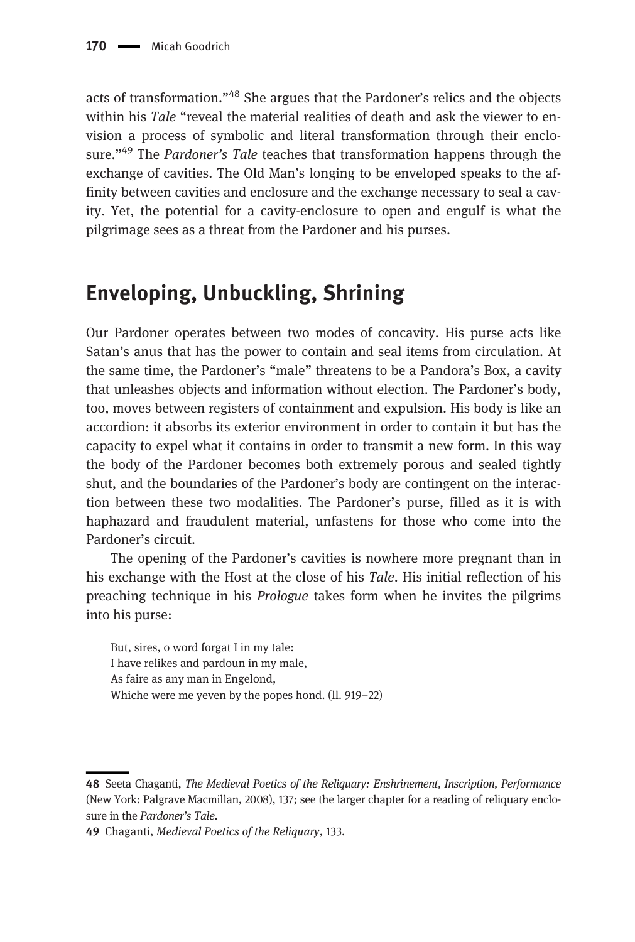acts of transformation."<sup>48</sup> She argues that the Pardoner's relics and the objects within his Tale "reveal the material realities of death and ask the viewer to envision a process of symbolic and literal transformation through their enclosure."<sup>49</sup> The Pardoner's Tale teaches that transformation happens through the exchange of cavities. The Old Man's longing to be enveloped speaks to the affinity between cavities and enclosure and the exchange necessary to seal a cavity. Yet, the potential for a cavity-enclosure to open and engulf is what the pilgrimage sees as a threat from the Pardoner and his purses.

## Enveloping, Unbuckling, Shrining

Our Pardoner operates between two modes of concavity. His purse acts like Satan's anus that has the power to contain and seal items from circulation. At the same time, the Pardoner's "male" threatens to be a Pandora's Box, a cavity that unleashes objects and information without election. The Pardoner's body, too, moves between registers of containment and expulsion. His body is like an accordion: it absorbs its exterior environment in order to contain it but has the capacity to expel what it contains in order to transmit a new form. In this way the body of the Pardoner becomes both extremely porous and sealed tightly shut, and the boundaries of the Pardoner's body are contingent on the interaction between these two modalities. The Pardoner's purse, filled as it is with haphazard and fraudulent material, unfastens for those who come into the Pardoner's circuit.

The opening of the Pardoner's cavities is nowhere more pregnant than in his exchange with the Host at the close of his Tale. His initial reflection of his preaching technique in his Prologue takes form when he invites the pilgrims into his purse:

But, sires, o word forgat I in my tale: I have relikes and pardoun in my male, As faire as any man in Engelond, Whiche were me yeven by the popes hond. (ll. 919–22)

<sup>48</sup> Seeta Chaganti, The Medieval Poetics of the Reliquary: Enshrinement, Inscription, Performance (New York: Palgrave Macmillan, 2008), 137; see the larger chapter for a reading of reliquary enclosure in the Pardoner's Tale.

<sup>49</sup> Chaganti, Medieval Poetics of the Reliquary, 133.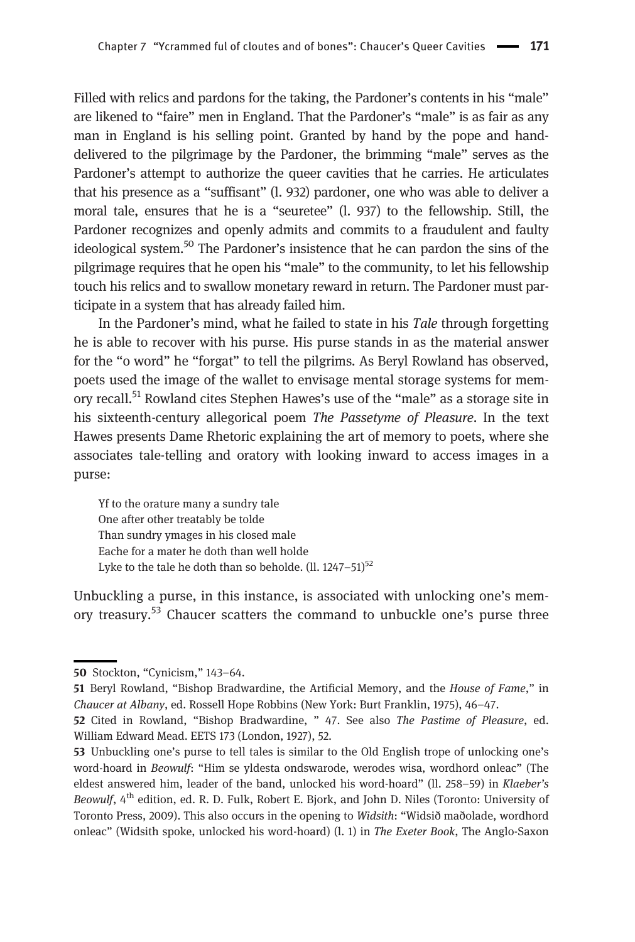Filled with relics and pardons for the taking, the Pardoner's contents in his "male" are likened to "faire" men in England. That the Pardoner's "male" is as fair as any man in England is his selling point. Granted by hand by the pope and handdelivered to the pilgrimage by the Pardoner, the brimming "male" serves as the Pardoner's attempt to authorize the queer cavities that he carries. He articulates that his presence as a "suffisant" (l. 932) pardoner, one who was able to deliver a moral tale, ensures that he is a "seuretee" (l. 937) to the fellowship. Still, the Pardoner recognizes and openly admits and commits to a fraudulent and faulty ideological system.<sup>50</sup> The Pardoner's insistence that he can pardon the sins of the pilgrimage requires that he open his "male" to the community, to let his fellowship touch his relics and to swallow monetary reward in return. The Pardoner must participate in a system that has already failed him.

In the Pardoner's mind, what he failed to state in his Tale through forgetting he is able to recover with his purse. His purse stands in as the material answer for the "o word" he "forgat" to tell the pilgrims. As Beryl Rowland has observed, poets used the image of the wallet to envisage mental storage systems for memory recall.<sup>51</sup> Rowland cites Stephen Hawes's use of the "male" as a storage site in his sixteenth-century allegorical poem The Passetyme of Pleasure. In the text Hawes presents Dame Rhetoric explaining the art of memory to poets, where she associates tale-telling and oratory with looking inward to access images in a purse:

Yf to the orature many a sundry tale One after other treatably be tolde Than sundry ymages in his closed male Eache for a mater he doth than well holde Lyke to the tale he doth than so beholde.  $(11. 1247-51)^{52}$ 

Unbuckling a purse, in this instance, is associated with unlocking one's memory treasury.<sup>53</sup> Chaucer scatters the command to unbuckle one's purse three

<sup>50</sup> Stockton, "Cynicism," 143–64.

<sup>51</sup> Beryl Rowland, "Bishop Bradwardine, the Artificial Memory, and the House of Fame," in Chaucer at Albany, ed. Rossell Hope Robbins (New York: Burt Franklin, 1975), 46–47.

<sup>52</sup> Cited in Rowland, "Bishop Bradwardine, " 47. See also The Pastime of Pleasure, ed. William Edward Mead. EETS 173 (London, 1927), 52.

<sup>53</sup> Unbuckling one's purse to tell tales is similar to the Old English trope of unlocking one's word-hoard in Beowulf: "Him se yldesta ondswarode, werodes wisa, wordhord onleac" (The eldest answered him, leader of the band, unlocked his word-hoard" (ll. 258–59) in Klaeber's Beowulf,  $4<sup>th</sup>$  edition, ed. R. D. Fulk, Robert E. Bjork, and John D. Niles (Toronto: University of Toronto Press, 2009). This also occurs in the opening to Widsith: "Widsið maðolade, wordhord onleac" (Widsith spoke, unlocked his word-hoard) (l. 1) in The Exeter Book, The Anglo-Saxon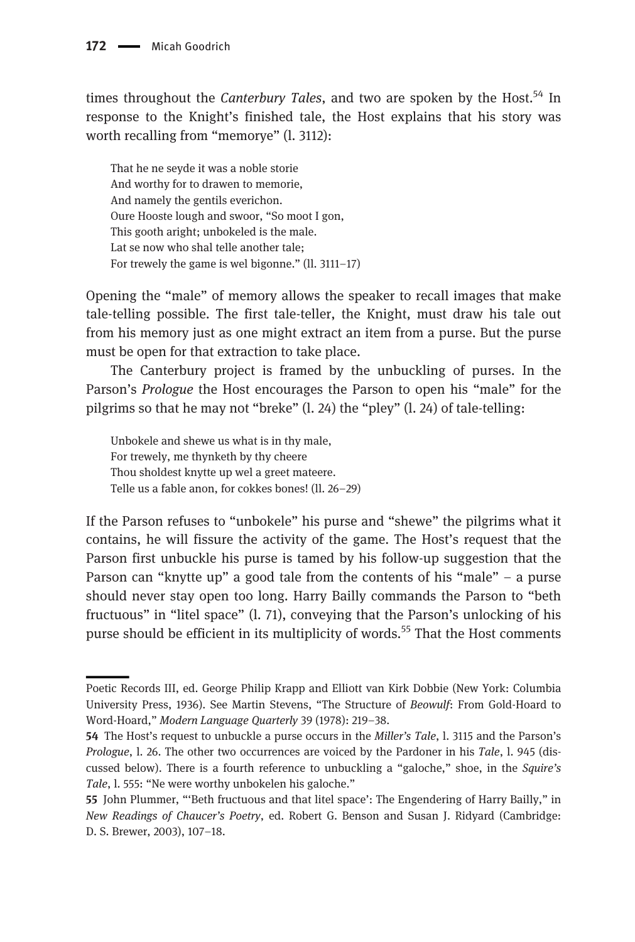times throughout the *Canterbury Tales*, and two are spoken by the Host.<sup>54</sup> In response to the Knight's finished tale, the Host explains that his story was worth recalling from "memorye" (l. 3112):

That he ne seyde it was a noble storie And worthy for to drawen to memorie, And namely the gentils everichon. Oure Hooste lough and swoor, "So moot I gon, This gooth aright; unbokeled is the male. Lat se now who shal telle another tale; For trewely the game is wel bigonne." (ll. 3111–17)

Opening the "male" of memory allows the speaker to recall images that make tale-telling possible. The first tale-teller, the Knight, must draw his tale out from his memory just as one might extract an item from a purse. But the purse must be open for that extraction to take place.

The Canterbury project is framed by the unbuckling of purses. In the Parson's Prologue the Host encourages the Parson to open his "male" for the pilgrims so that he may not "breke" (l. 24) the "pley" (l. 24) of tale-telling:

Unbokele and shewe us what is in thy male, For trewely, me thynketh by thy cheere Thou sholdest knytte up wel a greet mateere. Telle us a fable anon, for cokkes bones! (ll. 26–29)

If the Parson refuses to "unbokele" his purse and "shewe" the pilgrims what it contains, he will fissure the activity of the game. The Host's request that the Parson first unbuckle his purse is tamed by his follow-up suggestion that the Parson can "knytte up" a good tale from the contents of his "male" – a purse should never stay open too long. Harry Bailly commands the Parson to "beth fructuous" in "litel space" (l. 71), conveying that the Parson's unlocking of his purse should be efficient in its multiplicity of words.<sup>55</sup> That the Host comments

Poetic Records III, ed. George Philip Krapp and Elliott van Kirk Dobbie (New York: Columbia University Press, 1936). See Martin Stevens, "The Structure of Beowulf: From Gold-Hoard to Word-Hoard," Modern Language Quarterly 39 (1978): 219–38.

<sup>54</sup> The Host's request to unbuckle a purse occurs in the Miller's Tale, 1. 3115 and the Parson's Prologue, l. 26. The other two occurrences are voiced by the Pardoner in his Tale, l. 945 (discussed below). There is a fourth reference to unbuckling a "galoche," shoe, in the Squire's Tale, l. 555: "Ne were worthy unbokelen his galoche."

<sup>55</sup> John Plummer, "'Beth fructuous and that litel space': The Engendering of Harry Bailly," in New Readings of Chaucer's Poetry, ed. Robert G. Benson and Susan J. Ridyard (Cambridge: D. S. Brewer, 2003), 107–18.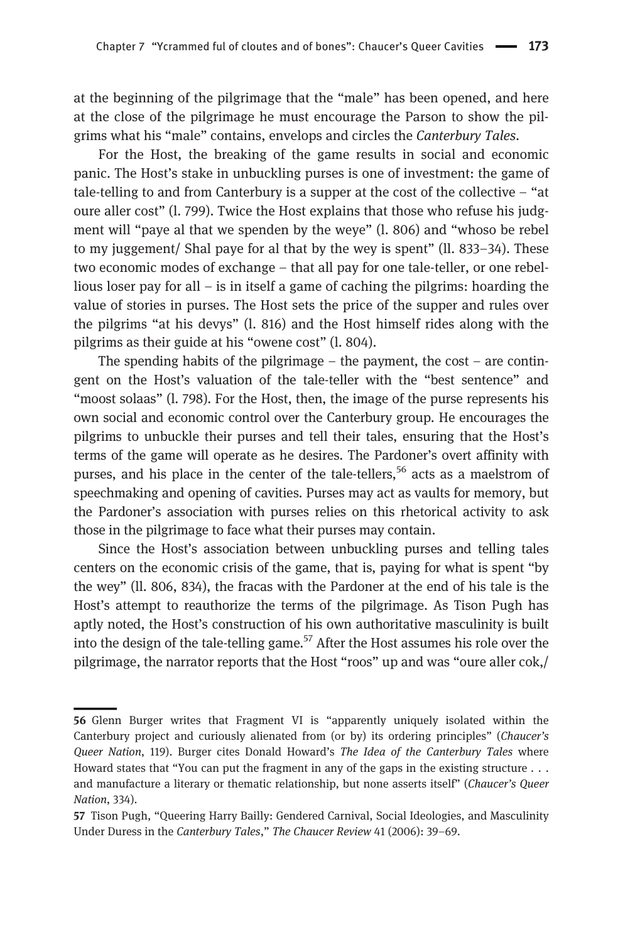at the beginning of the pilgrimage that the "male" has been opened, and here at the close of the pilgrimage he must encourage the Parson to show the pilgrims what his "male" contains, envelops and circles the Canterbury Tales.

For the Host, the breaking of the game results in social and economic panic. The Host's stake in unbuckling purses is one of investment: the game of tale-telling to and from Canterbury is a supper at the cost of the collective – "at oure aller cost" (l. 799). Twice the Host explains that those who refuse his judgment will "paye al that we spenden by the weye" (l. 806) and "whoso be rebel to my juggement/ Shal paye for al that by the wey is spent" (ll. 833–34). These two economic modes of exchange – that all pay for one tale-teller, or one rebellious loser pay for all – is in itself a game of caching the pilgrims: hoarding the value of stories in purses. The Host sets the price of the supper and rules over the pilgrims "at his devys" (l. 816) and the Host himself rides along with the pilgrims as their guide at his "owene cost" (l. 804).

The spending habits of the pilgrimage – the payment, the cost – are contingent on the Host's valuation of the tale-teller with the "best sentence" and "moost solaas" (l. 798). For the Host, then, the image of the purse represents his own social and economic control over the Canterbury group. He encourages the pilgrims to unbuckle their purses and tell their tales, ensuring that the Host's terms of the game will operate as he desires. The Pardoner's overt affinity with purses, and his place in the center of the tale-tellers,<sup>56</sup> acts as a maelstrom of speechmaking and opening of cavities. Purses may act as vaults for memory, but the Pardoner's association with purses relies on this rhetorical activity to ask those in the pilgrimage to face what their purses may contain.

Since the Host's association between unbuckling purses and telling tales centers on the economic crisis of the game, that is, paying for what is spent "by the wey" (ll. 806, 834), the fracas with the Pardoner at the end of his tale is the Host's attempt to reauthorize the terms of the pilgrimage. As Tison Pugh has aptly noted, the Host's construction of his own authoritative masculinity is built into the design of the tale-telling game.<sup>57</sup> After the Host assumes his role over the pilgrimage, the narrator reports that the Host "roos" up and was "oure aller cok,/

<sup>56</sup> Glenn Burger writes that Fragment VI is "apparently uniquely isolated within the Canterbury project and curiously alienated from (or by) its ordering principles" (Chaucer's Queer Nation, 119). Burger cites Donald Howard's The Idea of the Canterbury Tales where Howard states that "You can put the fragment in any of the gaps in the existing structure  $\ldots$ and manufacture a literary or thematic relationship, but none asserts itself" (Chaucer's Queer Nation, 334).

<sup>57</sup> Tison Pugh, "Queering Harry Bailly: Gendered Carnival, Social Ideologies, and Masculinity Under Duress in the Canterbury Tales," The Chaucer Review 41 (2006): 39–69.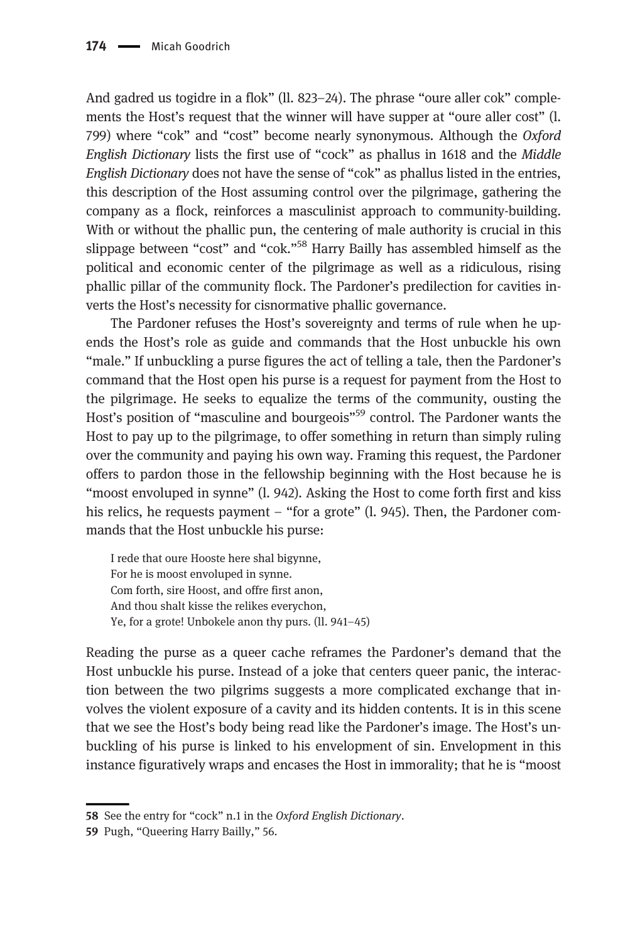And gadred us togidre in a flok" (ll. 823–24). The phrase "oure aller cok" complements the Host's request that the winner will have supper at "oure aller cost" (l. 799) where "cok" and "cost" become nearly synonymous. Although the Oxford English Dictionary lists the first use of "cock" as phallus in 1618 and the Middle English Dictionary does not have the sense of "cok" as phallus listed in the entries, this description of the Host assuming control over the pilgrimage, gathering the company as a flock, reinforces a masculinist approach to community-building. With or without the phallic pun, the centering of male authority is crucial in this slippage between "cost" and "cok."<sup>58</sup> Harry Bailly has assembled himself as the political and economic center of the pilgrimage as well as a ridiculous, rising phallic pillar of the community flock. The Pardoner's predilection for cavities inverts the Host's necessity for cisnormative phallic governance.

The Pardoner refuses the Host's sovereignty and terms of rule when he upends the Host's role as guide and commands that the Host unbuckle his own "male." If unbuckling a purse figures the act of telling a tale, then the Pardoner's command that the Host open his purse is a request for payment from the Host to the pilgrimage. He seeks to equalize the terms of the community, ousting the Host's position of "masculine and bourgeois"<sup>59</sup> control. The Pardoner wants the Host to pay up to the pilgrimage, to offer something in return than simply ruling over the community and paying his own way. Framing this request, the Pardoner offers to pardon those in the fellowship beginning with the Host because he is "moost envoluped in synne" (l. 942). Asking the Host to come forth first and kiss his relics, he requests payment – "for a grote" (l. 945). Then, the Pardoner commands that the Host unbuckle his purse:

I rede that oure Hooste here shal bigynne, For he is moost envoluped in synne. Com forth, sire Hoost, and offre first anon, And thou shalt kisse the relikes everychon, Ye, for a grote! Unbokele anon thy purs. (ll. 941–45)

Reading the purse as a queer cache reframes the Pardoner's demand that the Host unbuckle his purse. Instead of a joke that centers queer panic, the interaction between the two pilgrims suggests a more complicated exchange that involves the violent exposure of a cavity and its hidden contents. It is in this scene that we see the Host's body being read like the Pardoner's image. The Host's unbuckling of his purse is linked to his envelopment of sin. Envelopment in this instance figuratively wraps and encases the Host in immorality; that he is "moost

<sup>58</sup> See the entry for "cock" n.1 in the Oxford English Dictionary.

<sup>59</sup> Pugh, "Queering Harry Bailly," 56.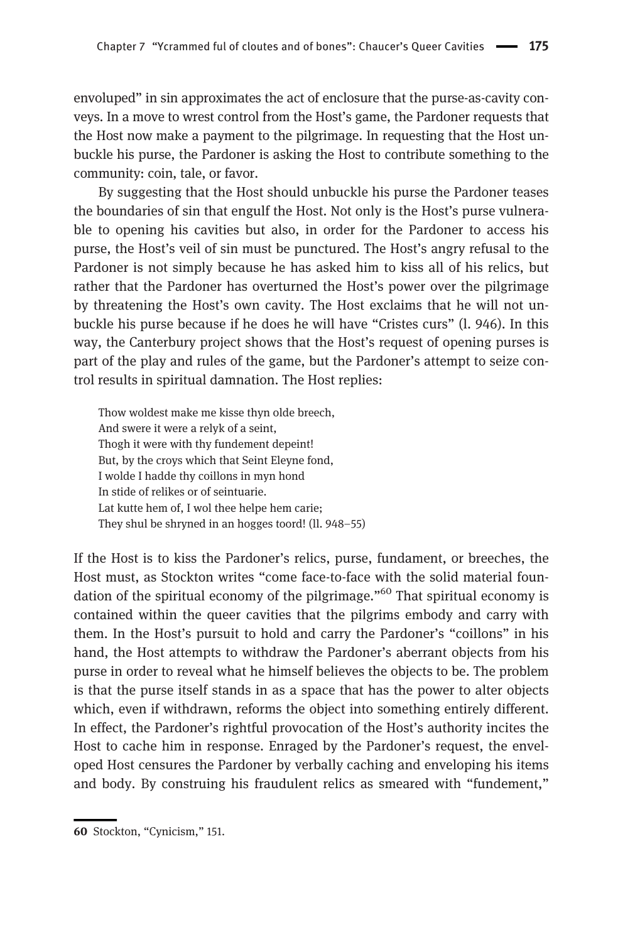envoluped" in sin approximates the act of enclosure that the purse-as-cavity conveys. In a move to wrest control from the Host's game, the Pardoner requests that the Host now make a payment to the pilgrimage. In requesting that the Host unbuckle his purse, the Pardoner is asking the Host to contribute something to the community: coin, tale, or favor.

By suggesting that the Host should unbuckle his purse the Pardoner teases the boundaries of sin that engulf the Host. Not only is the Host's purse vulnerable to opening his cavities but also, in order for the Pardoner to access his purse, the Host's veil of sin must be punctured. The Host's angry refusal to the Pardoner is not simply because he has asked him to kiss all of his relics, but rather that the Pardoner has overturned the Host's power over the pilgrimage by threatening the Host's own cavity. The Host exclaims that he will not unbuckle his purse because if he does he will have "Cristes curs" (l. 946). In this way, the Canterbury project shows that the Host's request of opening purses is part of the play and rules of the game, but the Pardoner's attempt to seize control results in spiritual damnation. The Host replies:

Thow woldest make me kisse thyn olde breech, And swere it were a relyk of a seint, Thogh it were with thy fundement depeint! But, by the croys which that Seint Eleyne fond, I wolde I hadde thy coillons in myn hond In stide of relikes or of seintuarie. Lat kutte hem of, I wol thee helpe hem carie; They shul be shryned in an hogges toord! (ll. 948–55)

If the Host is to kiss the Pardoner's relics, purse, fundament, or breeches, the Host must, as Stockton writes "come face-to-face with the solid material foundation of the spiritual economy of the pilgrimage."<sup>60</sup> That spiritual economy is contained within the queer cavities that the pilgrims embody and carry with them. In the Host's pursuit to hold and carry the Pardoner's "coillons" in his hand, the Host attempts to withdraw the Pardoner's aberrant objects from his purse in order to reveal what he himself believes the objects to be. The problem is that the purse itself stands in as a space that has the power to alter objects which, even if withdrawn, reforms the object into something entirely different. In effect, the Pardoner's rightful provocation of the Host's authority incites the Host to cache him in response. Enraged by the Pardoner's request, the enveloped Host censures the Pardoner by verbally caching and enveloping his items and body. By construing his fraudulent relics as smeared with "fundement,"

<sup>60</sup> Stockton, "Cynicism," 151.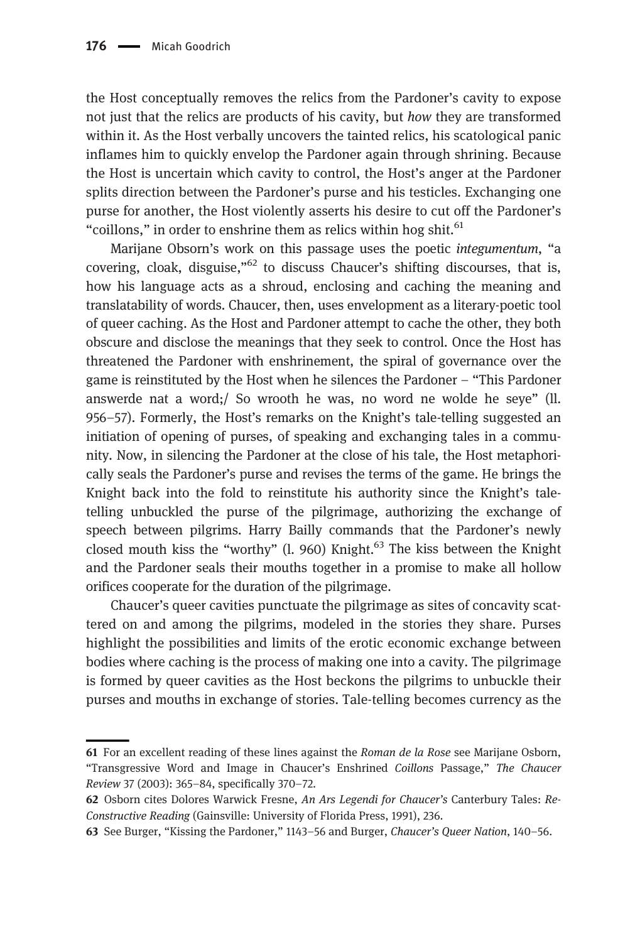the Host conceptually removes the relics from the Pardoner's cavity to expose not just that the relics are products of his cavity, but how they are transformed within it. As the Host verbally uncovers the tainted relics, his scatological panic inflames him to quickly envelop the Pardoner again through shrining. Because the Host is uncertain which cavity to control, the Host's anger at the Pardoner splits direction between the Pardoner's purse and his testicles. Exchanging one purse for another, the Host violently asserts his desire to cut off the Pardoner's "coillons," in order to enshrine them as relics within hog shit. $61$ 

Marijane Obsorn's work on this passage uses the poetic integumentum, "a covering, cloak, disguise, $n^{62}$  to discuss Chaucer's shifting discourses, that is, how his language acts as a shroud, enclosing and caching the meaning and translatability of words. Chaucer, then, uses envelopment as a literary-poetic tool of queer caching. As the Host and Pardoner attempt to cache the other, they both obscure and disclose the meanings that they seek to control. Once the Host has threatened the Pardoner with enshrinement, the spiral of governance over the game is reinstituted by the Host when he silences the Pardoner – "This Pardoner answerde nat a word;/ So wrooth he was, no word ne wolde he seye" (ll. 956–57). Formerly, the Host's remarks on the Knight's tale-telling suggested an initiation of opening of purses, of speaking and exchanging tales in a community. Now, in silencing the Pardoner at the close of his tale, the Host metaphorically seals the Pardoner's purse and revises the terms of the game. He brings the Knight back into the fold to reinstitute his authority since the Knight's taletelling unbuckled the purse of the pilgrimage, authorizing the exchange of speech between pilgrims. Harry Bailly commands that the Pardoner's newly closed mouth kiss the "worthy" (l. 960) Knight.<sup>63</sup> The kiss between the Knight and the Pardoner seals their mouths together in a promise to make all hollow orifices cooperate for the duration of the pilgrimage.

Chaucer's queer cavities punctuate the pilgrimage as sites of concavity scattered on and among the pilgrims, modeled in the stories they share. Purses highlight the possibilities and limits of the erotic economic exchange between bodies where caching is the process of making one into a cavity. The pilgrimage is formed by queer cavities as the Host beckons the pilgrims to unbuckle their purses and mouths in exchange of stories. Tale-telling becomes currency as the

<sup>61</sup> For an excellent reading of these lines against the Roman de la Rose see Marijane Osborn, "Transgressive Word and Image in Chaucer's Enshrined Coillons Passage," The Chaucer Review 37 (2003): 365–84, specifically 370–72.

<sup>62</sup> Osborn cites Dolores Warwick Fresne, An Ars Legendi for Chaucer's Canterbury Tales: Re-Constructive Reading (Gainsville: University of Florida Press, 1991), 236.

<sup>63</sup> See Burger, "Kissing the Pardoner," 1143–56 and Burger, Chaucer's Queer Nation, 140–56.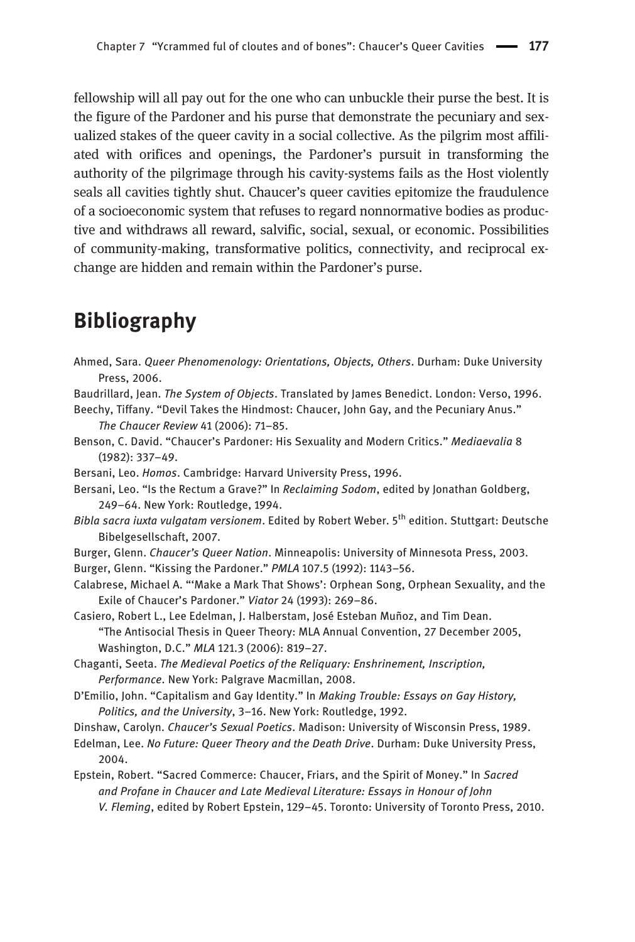fellowship will all pay out for the one who can unbuckle their purse the best. It is the figure of the Pardoner and his purse that demonstrate the pecuniary and sexualized stakes of the queer cavity in a social collective. As the pilgrim most affiliated with orifices and openings, the Pardoner's pursuit in transforming the authority of the pilgrimage through his cavity-systems fails as the Host violently seals all cavities tightly shut. Chaucer's queer cavities epitomize the fraudulence of a socioeconomic system that refuses to regard nonnormative bodies as productive and withdraws all reward, salvific, social, sexual, or economic. Possibilities of community-making, transformative politics, connectivity, and reciprocal exchange are hidden and remain within the Pardoner's purse.

### Bibliography

- Ahmed, Sara. Queer Phenomenology: Orientations, Objects, Others. Durham: Duke University Press, 2006.
- Baudrillard, Jean. The System of Objects. Translated by James Benedict. London: Verso, 1996.

Beechy, Tiffany. "Devil Takes the Hindmost: Chaucer, John Gay, and the Pecuniary Anus." The Chaucer Review 41 (2006): 71–85.

- Benson, C. David. "Chaucer's Pardoner: His Sexuality and Modern Critics." Mediaevalia 8 (1982): 337–49.
- Bersani, Leo. Homos. Cambridge: Harvard University Press, 1996.
- Bersani, Leo. "Is the Rectum a Grave?" In Reclaiming Sodom, edited by Jonathan Goldberg, 249–64. New York: Routledge, 1994.
- Bibla sacra iuxta vulgatam versionem. Edited by Robert Weber. 5<sup>th</sup> edition. Stuttgart: Deutsche Bibelgesellschaft, 2007.
- Burger, Glenn. Chaucer's Queer Nation. Minneapolis: University of Minnesota Press, 2003.
- Burger, Glenn. "Kissing the Pardoner." PMLA 107.5 (1992): 1143–56.
- Calabrese, Michael A. "'Make a Mark That Shows': Orphean Song, Orphean Sexuality, and the Exile of Chaucer's Pardoner." Viator 24 (1993): 269–86.
- Casiero, Robert L., Lee Edelman, J. Halberstam, José Esteban Muñoz, and Tim Dean. "The Antisocial Thesis in Queer Theory: MLA Annual Convention, 27 December 2005, Washington, D.C." MLA 121.3 (2006): 819–27.
- Chaganti, Seeta. The Medieval Poetics of the Reliquary: Enshrinement, Inscription, Performance. New York: Palgrave Macmillan, 2008.
- D'Emilio, John. "Capitalism and Gay Identity." In Making Trouble: Essays on Gay History, Politics, and the University, 3–16. New York: Routledge, 1992.

Dinshaw, Carolyn. Chaucer's Sexual Poetics. Madison: University of Wisconsin Press, 1989.

- Edelman, Lee. No Future: Queer Theory and the Death Drive. Durham: Duke University Press, 2004.
- Epstein, Robert. "Sacred Commerce: Chaucer, Friars, and the Spirit of Money." In Sacred and Profane in Chaucer and Late Medieval Literature: Essays in Honour of John V. Fleming, edited by Robert Epstein, 129–45. Toronto: University of Toronto Press, 2010.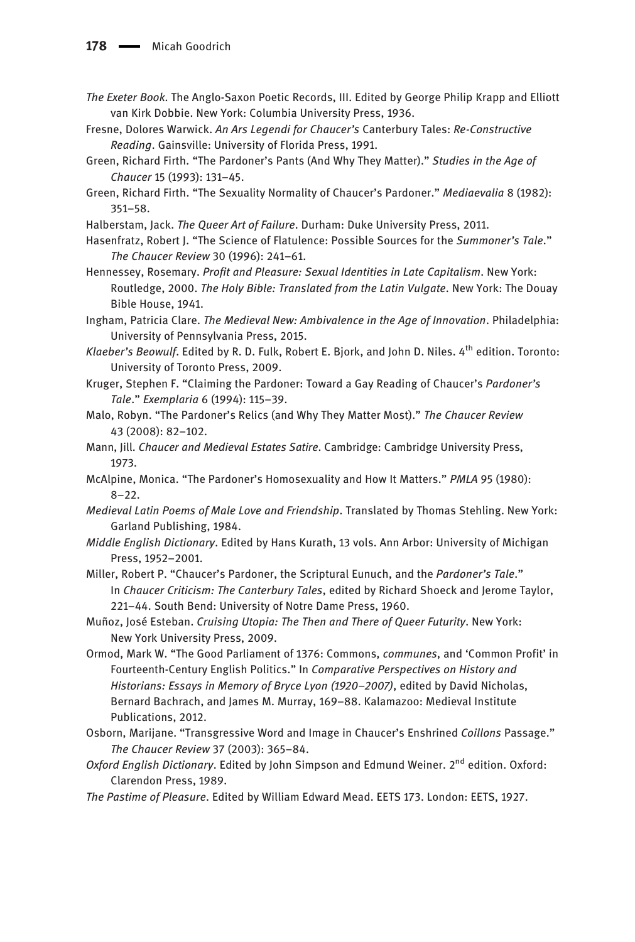- The Exeter Book. The Anglo-Saxon Poetic Records, III. Edited by George Philip Krapp and Elliott van Kirk Dobbie. New York: Columbia University Press, 1936.
- Fresne, Dolores Warwick. An Ars Legendi for Chaucer's Canterbury Tales: Re-Constructive Reading. Gainsville: University of Florida Press, 1991.
- Green, Richard Firth. "The Pardoner's Pants (And Why They Matter)." Studies in the Age of Chaucer 15 (1993): 131–45.
- Green, Richard Firth. "The Sexuality Normality of Chaucer's Pardoner." Mediaevalia 8 (1982): 351–58.
- Halberstam, Jack. The Queer Art of Failure. Durham: Duke University Press, 2011.
- Hasenfratz, Robert J. "The Science of Flatulence: Possible Sources for the Summoner's Tale." The Chaucer Review 30 (1996): 241–61.
- Hennessey, Rosemary. Profit and Pleasure: Sexual Identities in Late Capitalism. New York: Routledge, 2000. The Holy Bible: Translated from the Latin Vulgate. New York: The Douay Bible House, 1941.
- Ingham, Patricia Clare. The Medieval New: Ambivalence in the Age of Innovation. Philadelphia: University of Pennsylvania Press, 2015.
- Klaeber's Beowulf. Edited by R. D. Fulk, Robert E. Bjork, and John D. Niles. 4<sup>th</sup> edition. Toronto: University of Toronto Press, 2009.
- Kruger, Stephen F. "Claiming the Pardoner: Toward a Gay Reading of Chaucer's Pardoner's Tale." Exemplaria 6 (1994): 115–39.
- Malo, Robyn. "The Pardoner's Relics (and Why They Matter Most)." The Chaucer Review 43 (2008): 82–102.
- Mann, Jill. Chaucer and Medieval Estates Satire. Cambridge: Cambridge University Press, 1973.
- McAlpine, Monica. "The Pardoner's Homosexuality and How It Matters." PMLA 95 (1980): 8–22.
- Medieval Latin Poems of Male Love and Friendship. Translated by Thomas Stehling. New York: Garland Publishing, 1984.
- Middle English Dictionary. Edited by Hans Kurath, 13 vols. Ann Arbor: University of Michigan Press, 1952–2001.
- Miller, Robert P. "Chaucer's Pardoner, the Scriptural Eunuch, and the Pardoner's Tale." In Chaucer Criticism: The Canterbury Tales, edited by Richard Shoeck and Jerome Taylor, 221–44. South Bend: University of Notre Dame Press, 1960.
- Muñoz, José Esteban. Cruising Utopia: The Then and There of Queer Futurity. New York: New York University Press, 2009.
- Ormod, Mark W. "The Good Parliament of 1376: Commons, communes, and 'Common Profit' in Fourteenth-Century English Politics." In Comparative Perspectives on History and Historians: Essays in Memory of Bryce Lyon (1920–2007), edited by David Nicholas, Bernard Bachrach, and James M. Murray, 169–88. Kalamazoo: Medieval Institute Publications, 2012.
- Osborn, Marijane. "Transgressive Word and Image in Chaucer's Enshrined Coillons Passage." The Chaucer Review 37 (2003): 365–84.
- Oxford English Dictionary. Edited by John Simpson and Edmund Weiner. 2<sup>nd</sup> edition. Oxford: Clarendon Press, 1989.
- The Pastime of Pleasure. Edited by William Edward Mead. EETS 173. London: EETS, 1927.